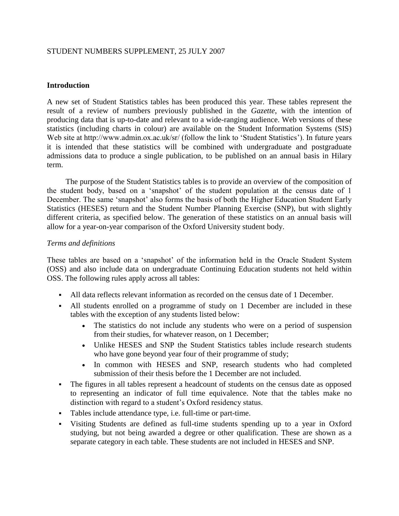# STUDENT NUMBERS SUPPLEMENT, 25 JULY 2007

# **Introduction**

A new set of Student Statistics tables has been produced this year. These tables represent the result of a review of numbers previously published in the *Gazette*, with the intention of producing data that is up-to-date and relevant to a wide-ranging audience. Web versions of these statistics (including charts in colour) are available on the Student Information Systems (SIS) Web site at http://www.admin.ox.ac.uk/sr/ (follow the link to 'Student Statistics'). In future years it is intended that these statistics will be combined with undergraduate and postgraduate admissions data to produce a single publication, to be published on an annual basis in Hilary term.

The purpose of the Student Statistics tables is to provide an overview of the composition of the student body, based on a 'snapshot' of the student population at the census date of 1 December. The same 'snapshot' also forms the basis of both the Higher Education Student Early Statistics (HESES) return and the Student Number Planning Exercise (SNP), but with slightly different criteria, as specified below. The generation of these statistics on an annual basis will allow for a year-on-year comparison of the Oxford University student body.

# *Terms and definitions*

These tables are based on a 'snapshot' of the information held in the Oracle Student System (OSS) and also include data on undergraduate Continuing Education students not held within OSS. The following rules apply across all tables:

- All data reflects relevant information as recorded on the census date of 1 December.
- All students enrolled on a programme of study on 1 December are included in these tables with the exception of any students listed below:
	- The statistics do not include any students who were on a period of suspension from their studies, for whatever reason, on 1 December;
	- Unlike HESES and SNP the Student Statistics tables include research students who have gone beyond year four of their programme of study;
	- In common with HESES and SNP, research students who had completed submission of their thesis before the 1 December are not included.
- The figures in all tables represent a headcount of students on the census date as opposed to representing an indicator of full time equivalence. Note that the tables make no distinction with regard to a student's Oxford residency status.
- Tables include attendance type, i.e. full-time or part-time.
- Visiting Students are defined as full-time students spending up to a year in Oxford studying, but not being awarded a degree or other qualification. These are shown as a separate category in each table. These students are not included in HESES and SNP.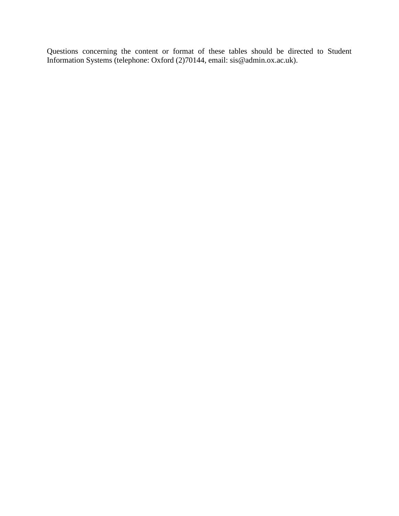Questions concerning the content or format of these tables should be directed to Student Information Systems (telephone: Oxford (2)70144, email: sis@admin.ox.ac.uk).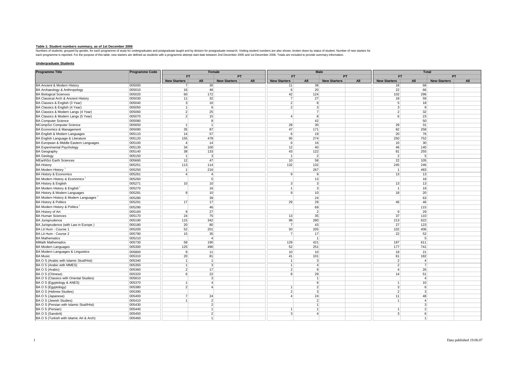Table 1: Student numbers summary, as of 1st December 2006<br>Numbers of sudents, grouped by gender, for each programme of study for undergraduates and postgraduate taught and by division for postgraduate research. Visiting st

## **Undergraduate Students**

| <b>Programme Title</b>                   | <b>Programme Code</b><br>Female |                     |                         |                     |     |                                  | <b>Male</b> |                         |     | <b>Total</b>        |                  |                     |     |
|------------------------------------------|---------------------------------|---------------------|-------------------------|---------------------|-----|----------------------------------|-------------|-------------------------|-----|---------------------|------------------|---------------------|-----|
|                                          |                                 | <b>FT</b>           |                         | <b>PT</b>           |     | <b>FT</b>                        |             | PT                      |     | <b>FT</b>           |                  | <b>PT</b>           |     |
|                                          |                                 | <b>New Starters</b> | All                     | <b>New Starters</b> | All | <b>New Starters</b>              | All         | <b>New Starters</b>     | All | <b>New Starters</b> | All              | <b>New Starters</b> | All |
| BA Ancient & Modern History              | 005000                          | $\overline{7}$      | 30 <sup>1</sup>         |                     |     | 11                               |             | 38                      |     | 18                  | 68               |                     |     |
| BA Archaeology & Anthropology            | 005010                          | 16                  | 46                      |                     |     | $6 \mid$                         |             | 20                      |     | 22                  | 66               |                     |     |
| <b>BA Biological Sciences</b>            | 005020                          | 60                  | 172                     |                     |     | 42                               | 124         |                         |     | 102                 | 296              |                     |     |
| BA Classical Arch & Ancient History      | 005030                          | 11                  | 32                      |                     |     | $\overline{7}$                   | 27          |                         |     | 18                  | 59               |                     |     |
| BA Classics & English (3 Year)           | 005040                          | 3 <sup>1</sup>      | 10                      |                     |     | $\overline{2}$                   |             | 8                       |     | 5 <sup>1</sup>      | 18               |                     |     |
| BA Classics & English (4 Year)           | 005050                          | $\mathbf{1}$        | 6                       |                     |     | $\overline{2}$                   |             | $\overline{3}$          |     | $\overline{3}$      | $\mathbf{g}$     |                     |     |
| BA Classics & Modern Langs (4 Year)      | 005060                          | 2 <sup>2</sup>      | 25                      |                     |     |                                  |             | $\overline{7}$          |     | 2                   | 32               |                     |     |
| BA Classics & Modern Langs (5 Year)      | 005070                          | 2 <sup>1</sup>      | 15                      |                     |     | $\vert$                          |             | 8                       |     | $6 \mid$            | 23               |                     |     |
| <b>BA Computer Science</b>               | 005080                          |                     | 8                       |                     |     |                                  | 42          |                         |     |                     | 50               |                     |     |
| MCompSci Computer Science                | 005650                          | $\mathbf{1}$        | $\vert$ 1               |                     |     | 28                               | 30          |                         |     | 29                  | 31               |                     |     |
| BA Economics & Management                | 005090                          | 35                  | 87                      |                     |     | 47                               | 171         |                         |     | 82                  | 258              |                     |     |
| BA English & Modern Languages            | 005110                          | 14                  | 57                      |                     |     | 6                                | 19          |                         |     | 20                  | 76               |                     |     |
| BA English Language & Literature         | 005120                          | 155                 | 478                     |                     |     | 95                               | 274         |                         |     | 250                 | 752              |                     |     |
| BA European & Middle Eastern Languages   | 005100                          | $\overline{4}$      | 14                      |                     |     | 6                                | 16          |                         |     | 10                  | 30               |                     |     |
| <b>BA Experimental Psychology</b>        | 005130                          | 34                  | 100                     |                     |     | 12                               | 40          |                         |     | 46                  | 140              |                     |     |
| <b>BA Geography</b>                      | 005140                          | 38                  | 133                     |                     |     | 43                               | 122         |                         |     | 81                  | 255              |                     |     |
| <b>BA Geology</b>                        | 005150                          | $\mathbf{1}$        | $\vert$ 3               |                     |     | $\overline{1}$                   |             | $\overline{2}$          |     | $\overline{2}$      | 5 <sup>1</sup>   |                     |     |
| MEarthSci Earth Sciences                 | 005660                          | 12                  | 47                      |                     |     | 10                               | 58          |                         |     | 22                  | 105              |                     |     |
| <b>BA History</b>                        | 005251                          | 113                 | 114                     |                     |     | 132                              | 132         |                         |     | 245                 | 246              |                     |     |
| <b>BA Modern History</b>                 | 005250                          | $\mathbf{1}$        | 216                     |                     |     |                                  | 267         |                         |     | $\overline{1}$      | 483              |                     |     |
| <b>BA History &amp; Economics</b>        | 005261                          | $\overline{4}$      | $\overline{4}$          |                     |     | 9                                |             | $\overline{9}$          |     | 13                  | 13               |                     |     |
| BA Modern History & Economics            | 005260                          |                     | 5 <sup>5</sup>          |                     |     |                                  | 13          |                         |     |                     | 18               |                     |     |
| BA History & English                     | 005271                          | 10                  | 10                      |                     |     | 3 <sup>1</sup>                   |             | 3                       |     | 13                  | 13               |                     |     |
|                                          |                                 |                     |                         |                     |     |                                  |             | 3                       |     |                     |                  |                     |     |
| BA Modern History & English              | 005270                          |                     | 16                      |                     |     | $\overline{1}$<br>$\overline{9}$ |             |                         |     | $\mathbf{1}$        | 19               |                     |     |
| BA History & Modern Languages            | 005281                          | 9 <sup>1</sup>      | 10                      |                     |     |                                  |             | 10 <sup>1</sup>         |     | 18                  | 20               |                     |     |
| BA Modern History & Modern Languages     | 005280                          |                     | 39                      |                     |     |                                  | 24          |                         |     |                     | 63               |                     |     |
| <b>BA History &amp; Politics</b>         | 005291                          | 17                  | 17                      |                     |     | 29                               | 29          |                         |     | 46                  | 46               |                     |     |
| BA Modern History & Politics             | 005290                          |                     | 46                      |                     |     |                                  | 69          |                         |     |                     | 115              |                     |     |
| <b>BA History of Art</b>                 | 005160                          | 9                   | 27                      |                     |     |                                  |             | $\overline{2}$          |     | 9                   | 29               |                     |     |
| <b>BA Human Sciences</b>                 | 005170                          | 24                  | 75                      |                     |     | 13                               | 35          |                         |     | 37                  | 110              |                     |     |
| <b>BA Jurisprudence</b>                  | 005190                          | 115                 | 342                     |                     |     | 98                               | 280         |                         |     | 213                 | 622              |                     |     |
| BA Jurisprudence (with Law in Europe)    | 005180                          | 20                  | 80                      |                     |     | $\overline{7}$                   | 43          |                         |     | 27                  | 123              |                     |     |
| BA Lit Hum - Course 1                    | 005200                          | 52                  | 201                     |                     |     | 50                               | 205         |                         |     | 102                 | 406              |                     |     |
| BA Lit Hum - Course 2                    | 005790                          | 15                  | 35                      |                     |     | $\overline{7}$                   | 17          |                         |     | 22                  | 52               |                     |     |
| <b>BA Mathematics</b>                    | 005210                          |                     | $\overline{4}$          |                     |     |                                  |             | $\overline{1}$          |     |                     | 5                |                     |     |
| <b>MMath Mathematics</b>                 | 005730                          | 58                  | 190                     |                     |     | 129                              | 421         |                         |     | 187                 | 611              |                     |     |
| <b>BA Modern Languages</b>               | 005300                          | 125                 | 490                     |                     |     | 52                               | 251         |                         |     | 177                 | 741              |                     |     |
| BA Modern Languages & Linguistics        | 005800                          | 9 <sup>1</sup>      | 11                      |                     |     | 10                               |             | 10                      |     | 19                  | 21               |                     |     |
| <b>BA Music</b>                          | 005310                          | 20 <sup>2</sup>     | 81                      |                     |     | 41                               | 101         |                         |     | 61                  | 182              |                     |     |
| BA O S (Arabic with Islamic Stud/Hist)   | 005340                          | $\mathbf{1}$        | $\vert$ 1               |                     |     | 1                                |             | 3                       |     | 2 <sup>1</sup>      | $\overline{a}$   |                     |     |
| BA O S (Arabic with MMES)                | 005350                          | $\mathbf{1}$        | $\vert$ 3               |                     |     | $\overline{1}$                   |             | $\overline{\mathbf{A}}$ |     | 2 <sup>1</sup>      | $\overline{7}$   |                     |     |
| BA O S (Arabic)                          | 005360                          | $\overline{2}$      | 17                      |                     |     | $\overline{2}$                   |             | $\overline{9}$          |     | $\overline{4}$      | 26               |                     |     |
| BA O S (Chinese)                         | 005320                          | 6 <sup>1</sup>      | 22                      |                     |     | $\mathbf{R}$                     | 29          |                         |     | 14                  | 51               |                     |     |
| BA O S (Classics with Oriental Studies)  | 005810                          |                     | 3                       |                     |     |                                  |             | 1                       |     |                     | $\overline{A}$   |                     |     |
| BA O S (Egyptology & ANES)               | 005370                          | $\mathbf{1}$        | $\overline{\mathbf{A}}$ |                     |     |                                  |             | $6 \overline{6}$        |     | $\mathbf{1}$        | 10               |                     |     |
| BA O S (Egyptology)                      | 005380                          | 2 <sup>1</sup>      | $\overline{\mathbf{A}}$ |                     |     | $\mathbf{1}$                     |             | $\overline{2}$          |     | 3 <sup>1</sup>      | $6 \overline{6}$ |                     |     |
| BA O S (Hebrew Studies)                  | 005390                          |                     |                         |                     |     | $\overline{2}$                   |             | 3                       |     | 2 <sup>1</sup>      | $\mathbf{3}$     |                     |     |
| BA O S (Japanese)                        | 005400                          | 7 <sup>1</sup>      | 24                      |                     |     | $\vert$                          | 24          |                         |     | 11                  | 48               |                     |     |
| BA O S (Jewish Studies)                  | 005410                          | 1                   | $\overline{2}$          |                     |     |                                  |             | $\overline{2}$          |     | $\mathbf{1}$        | $\overline{4}$   |                     |     |
| BA O S (Persian with Islamic Stud/Hist)  | 005430                          |                     | 2                       |                     |     |                                  |             | 1                       |     |                     | $\mathbf{3}$     |                     |     |
| BA O S (Persian)                         | 005440                          |                     | $\mathbf{1}$            |                     |     | $\mathbf{1}$                     |             | 1                       |     | 1                   | 2                |                     |     |
| BA O S (Sanskrit)                        | 005450                          |                     | $\overline{2}$          |                     |     | 3 <sup>1</sup>                   |             | $\overline{\mathbf{A}}$ |     | $\mathbf{3}$        | 6                |                     |     |
| BA O S (Turkish with Islamic Art & Arch) | 005460                          |                     |                         |                     |     |                                  |             |                         |     |                     |                  |                     |     |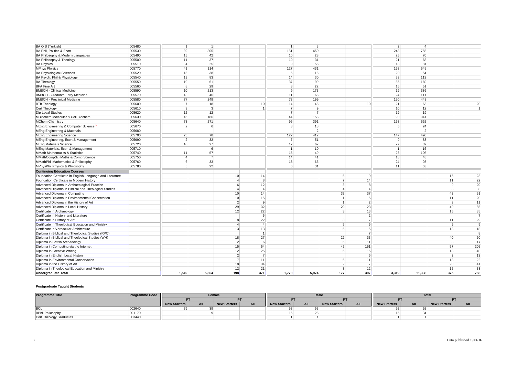| BA O S (Turkish)                                          | 005480 | $\mathbf{1}$            | $\overline{1}$ |                 |                | $\overline{1}$  | $\overline{3}$  |                |                 | 2 <sup>1</sup>  | $\overline{A}$ |                 |                |
|-----------------------------------------------------------|--------|-------------------------|----------------|-----------------|----------------|-----------------|-----------------|----------------|-----------------|-----------------|----------------|-----------------|----------------|
| BA Phil. Politics & Econ                                  | 005530 | 92                      | 305            |                 |                | 151             | 450             |                |                 | 243             | 755            |                 |                |
| BA Philosophy & Modern Languages                          | 005490 | 15                      | 42             |                 |                | 10              | 28              |                |                 | 25              | 70             |                 |                |
| BA Philosophy & Theology                                  | 005500 | 11                      | 37             |                 |                | 10 <sup>1</sup> | 31              |                |                 | 21              | 68             |                 |                |
| <b>BA Physics</b>                                         | 005510 | $\overline{\mathbf{A}}$ | 25             |                 |                | 9               | 56              |                |                 | 13              | 81             |                 |                |
| <b>MPhys Physics</b>                                      | 005770 | 41                      | 114            |                 |                | 127             | 431             |                |                 | 168             | 545            |                 |                |
| <b>BA Physiological Sciences</b>                          | 005520 | 15                      | 38             |                 |                | 5 <sup>5</sup>  | 16              |                |                 | 20              | 54             |                 |                |
| BA Psych, Phil & Physiology                               | 005540 | 19                      | 83             |                 |                | 14              | 30 <sup>°</sup> |                |                 | 33              | 113            |                 |                |
| <b>BA Theology</b>                                        | 005550 | 19                      | 61             |                 |                | 37              | 99              |                |                 | 56              | 160            |                 |                |
| <b>BFA Fine Art</b>                                       | 005560 | 8                       | 29             |                 |                | 8 <sup>1</sup>  | 22              |                |                 | 16              | 51             |                 |                |
| <b>BMBCH - Clinical Medicine</b>                          | 005590 | 10                      | 213            |                 |                | 9               | 173             |                |                 | 19              | 386            |                 |                |
| <b>BMBCH - Graduate Entry Medicine</b>                    | 005570 | 13                      | 46             |                 |                | 11              | 65              |                |                 | 24              | 111            |                 |                |
| <b>BMBCH - Preclinical Medicine</b>                       | 005580 | 77                      | 249            |                 |                | 73              | 199             |                |                 | 150             | 448            |                 |                |
| <b>BTh Theology</b>                                       | 005600 | 7 <sup>1</sup>          | 18             |                 | 10             | 14              | 45              |                | 10              | 21              | 63             |                 | 20             |
| Cert Theology                                             | 005610 | 3 <sup>1</sup>          | 3              |                 | $\vert$ 1      | $\overline{7}$  | 9               |                |                 | 10              | 12             |                 | $\overline{1}$ |
| Dip Legal Studies                                         | 005620 | 12                      | 12             |                 |                | $\overline{7}$  | $\overline{7}$  |                |                 | 19              | 19             |                 |                |
| MBiochem Molecular & Cell Biochem                         | 005630 | 46                      | 186            |                 |                | 44              | 155             |                |                 | 90 <sup>°</sup> | 341            |                 |                |
| <b>MChem Chemistry</b>                                    | 005640 | 73                      | 271            |                 |                | 95              | 391             |                |                 | 168             | 662            |                 |                |
|                                                           |        | 2 <sup>1</sup>          | 6              |                 |                | $\overline{3}$  | 18              |                |                 | 5 <sup>1</sup>  |                |                 |                |
| MEng Engineering & Computer Science                       | 005670 |                         |                |                 |                |                 |                 |                |                 |                 | 24             |                 |                |
| <b>MEng Engineering &amp; Materials</b>                   | 005680 |                         |                |                 |                |                 | $\overline{2}$  |                |                 |                 | $\overline{2}$ |                 |                |
| <b>MEng Engineering Science</b>                           | 005700 | 25                      | 78             |                 |                | 122             | 412             |                |                 | 147             | 490            |                 |                |
| MEng Engineering, Econ & Management                       | 005690 | 2 <sup>2</sup>          | 32             |                 |                | $\overline{7}$  | 51              |                |                 | $\mathfrak{g}$  | 83             |                 |                |
| <b>MEng Materials Science</b>                             | 005720 | 10                      | 27             |                 |                | 17              | 62              |                |                 | 27              | 89             |                 |                |
| MEng Materials, Econ & Management                         | 005710 |                         | 6              |                 |                | $\overline{1}$  | 10              |                |                 | $\overline{1}$  | 16             |                 |                |
| <b>MMath Mathematics &amp; Statistics</b>                 | 005740 | 11                      | 57             |                 |                | 15              | 49              |                |                 | 26              | 106            |                 |                |
| MMathCompSci Maths & Comp Science                         | 005750 | $\overline{4}$          | $\overline{7}$ |                 |                | 14              | 41              |                |                 | 18              | 48             |                 |                |
| MMathPhil Mathematics & Philosophy                        | 005760 | 6 <sup>1</sup>          | 33             |                 |                | 18              | 65              |                |                 | 24              | 98             |                 |                |
| MPhysPhil Physics & Philosophy                            | 005780 | 5 <sup>1</sup>          | 22             |                 |                | 6               | 31              |                |                 | 11              | 53             |                 |                |
| <b>Continuing Education Courses</b>                       |        |                         |                |                 |                |                 |                 |                |                 |                 |                |                 |                |
| Foundation Certificate in English Language and Literature |        |                         |                | 10 <sup>1</sup> | 14             |                 |                 | 6              | $\vert 9 \vert$ |                 |                | 16              | 23             |
| Foundation Certificate in Modern History                  |        |                         |                | $\vert$         | 8              |                 |                 | $\overline{7}$ | 14              |                 |                | 11              | 22             |
| Advanced Diploma in Archaeological Practice               |        |                         |                | 6               | 12             |                 |                 | $\mathbf{3}$   | 8               |                 |                | 9               | 20             |
| Advanced Diploma in Biblical and Theological Studies      |        |                         |                | $\vert$         | $\vert$        |                 |                 | $\overline{4}$ | $\vert$         |                 |                | 8               | 8              |
| Advanced Diploma in Computing                             |        |                         |                | 10              | 14             |                 |                 | 32             | 37              |                 |                | 42              | 51             |
| Advanced Diploma in Environmental Conservation            |        |                         |                | 10              | 15             |                 |                 | $\overline{1}$ | 5               |                 |                | 11              | 20             |
| Advanced Diploma in the History of Art                    |        |                         |                | $\overline{2}$  | 9              |                 |                 | $\overline{1}$ | $\overline{2}$  |                 |                | 3 <sup>1</sup>  | 11             |
| Advanced Diploma in Local History                         |        |                         |                | 29              | 32             |                 |                 | 20             | 23              |                 |                | 49              | 55             |
| Certificate in Archaeology                                |        |                         |                | 12              | 22             |                 |                 | $\vert$ 3      | 13              |                 |                | 15              | 35             |
| Certificate in History and Literature                     |        |                         |                |                 | 5 <sup>5</sup> |                 |                 |                | $\overline{2}$  |                 |                |                 | $\overline{7}$ |
| Certificate in History of Art                             |        |                         |                | 8 <sup>1</sup>  | 22             |                 |                 | 3              | $\overline{7}$  |                 |                | 11              | 29             |
| Certificate in Theological Education and Ministry         |        |                         |                | $\vert$         | $\vert$        |                 |                 | 5 <sup>1</sup> | 5               |                 |                | $\mathbf{9}$    | 9              |
| Certificate in Vernacular Architecture                    |        |                         |                | 13              | 13             |                 |                 | 5 <sup>1</sup> | 5 <sup>5</sup>  |                 |                | 18              | 18             |
| Diploma in Biblical and Theological Studies (RPC)         |        |                         |                |                 | $\vert$ 1      |                 |                 |                | $\overline{7}$  |                 |                |                 | 8              |
| Diploma in Biblical and Theological Studies (WH)          |        |                         |                | 18              | 27             |                 |                 | 22             | 33              |                 |                | 40              | 60             |
| Diploma in British Archaeology                            |        |                         |                | $\overline{2}$  | 6              |                 |                 | $6 \mid$       | 11              |                 |                | 8 <sup>1</sup>  | 17             |
| Diploma in Computing via the Internet                     |        |                         |                | 15              | 54             |                 |                 | 42             | 151             |                 |                | 57              | 205            |
| Diploma in Creative Writing                               |        |                         |                | 12              | 25             |                 |                 | 6              | 15              |                 |                | 18              | 40             |
| Diploma in English Local History                          |        |                         |                | $\overline{2}$  | $\overline{7}$ |                 |                 |                | 6               |                 |                | $\overline{2}$  | 13             |
| Diploma in Environmental Conservation                     |        |                         |                | $\overline{7}$  | 11             |                 |                 | 6              | 11              |                 |                | 13              | 22             |
| Diploma in the History of Art                             |        |                         |                | 18              | 34             |                 |                 | $\overline{2}$ | $\overline{7}$  |                 |                | 20 <sup>2</sup> | 41             |
| Diploma in Theological Education and Ministry             |        |                         |                | 12              | 21             |                 |                 | $\mathbf{3}$   | 12              |                 |                | 15              | 33             |
| <b>Undergraduate Total</b>                                |        | 1,549                   | 5.364          | 198             | 371            | 1,770           | 5.974           | 177            | 397             | 3,319           | 11,338         | 375             | 768            |
|                                                           |        |                         |                |                 |                |                 |                 |                |                 |                 |                |                 |                |

## **Postgraduate Taught Students**

| <b>Programme Title</b>  | <b>Programme Code</b> |                     |                            | Female |     |              | <b>Male</b> |                     |     |                     |     | <b>Total</b>        |  |
|-------------------------|-----------------------|---------------------|----------------------------|--------|-----|--------------|-------------|---------------------|-----|---------------------|-----|---------------------|--|
|                         |                       |                     |                            |        | PT  |              |             |                     | nт  |                     |     | <b>PT</b>           |  |
|                         |                       | <b>New Starters</b> | All<br><b>New Starters</b> |        | All | New Starters | All         | <b>New Starters</b> | All | <b>New Starters</b> | All | <b>New Starters</b> |  |
| <b>BCL</b>              | 002640                |                     |                            |        |     |              |             |                     |     |                     |     |                     |  |
| <b>BPhil Philosophy</b> | 001170                |                     |                            |        |     |              |             |                     |     |                     |     |                     |  |
| Cert Theology Graduates | 003440                |                     |                            |        |     |              |             |                     |     |                     |     |                     |  |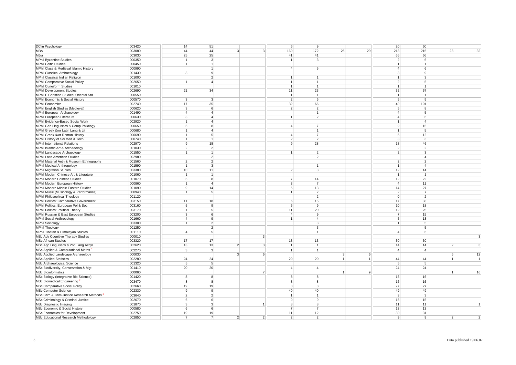| <b>DClin Psychology</b>                  | 003420 | 14                      | 51              |                |                | 6 <sup>1</sup>  | 9                              |                |    | 20              | 60               |                |                |
|------------------------------------------|--------|-------------------------|-----------------|----------------|----------------|-----------------|--------------------------------|----------------|----|-----------------|------------------|----------------|----------------|
| <b>MBA</b>                               | 003080 | 44                      | 44              | 3 <sup>1</sup> | 3 <sup>l</sup> | 169             | 172                            | 25             | 29 | 213             | 216              | 28             | 32             |
| MJur                                     | 003030 | 25                      | 25              |                |                | 41              | 41                             |                |    | 66              | 66               |                |                |
| <b>MPhil Byzantine Studies</b>           | 000350 | $\overline{1}$          | 3               |                |                | $\vert$         | $\lvert$ <sub>3</sub> $\rvert$ |                |    | 2 <sup>1</sup>  | $6 \overline{6}$ |                |                |
| <b>MPhil Celtic Studies</b>              | 000450 | 1 <sup>1</sup>          | $\mathbf{1}$    |                |                |                 |                                |                |    | 1               | $\mathbf{1}$     |                |                |
| MPhil Class & Medieval Islamic History   | 000990 |                         | $\mathbf{1}$    |                |                | $\overline{a}$  | 5 <sup>5</sup>                 |                |    | $\overline{4}$  | $6 \mid$         |                |                |
| <b>MPhil Classical Archaeology</b>       | 001430 | 3 <sup>1</sup>          | 9               |                |                |                 |                                |                |    | 3 <sup>1</sup>  | $\mathbf{9}$     |                |                |
| MPhil Classical Indian Religion          | 001000 |                         | $\overline{2}$  |                |                | $\vert$ 1       | $\overline{1}$                 |                |    | 1               | $\mathbf{3}$     |                |                |
| <b>MPhil Comparative Social Policy</b>   | 002650 | $\overline{1}$          | $\overline{a}$  |                |                | 1               | $\overline{1}$                 |                |    | 2 <sup>1</sup>  | 5                |                |                |
| <b>MPhil Cuneiform Studies</b>           | 001010 |                         |                 |                |                | 1               | $\overline{1}$                 |                |    | 1               | $\mathbf{1}$     |                |                |
| <b>MPhil Development Studies</b>         | 002690 | 21                      | 34              |                |                | 11              | 23                             |                |    | 32              | 57               |                |                |
| MPhil E Christian Studies: Oriental Std  | 000550 |                         |                 |                |                | 1               | $\overline{1}$                 |                |    | 1               | $\overline{1}$   |                |                |
| MPhil Economic & Social History          | 000570 | $\overline{\mathbf{3}}$ | $\overline{3}$  |                |                | $\overline{2}$  | 6                              |                |    | 5 <sup>1</sup>  | $\mathbf{9}$     |                |                |
| <b>MPhil Economics</b>                   | 002740 | 17                      | 35              |                |                | 32              | 66                             |                |    | 49              | 101              |                |                |
|                                          | 000620 | 3                       | 6               |                |                | $\overline{2}$  | $\overline{2}$                 |                |    | 5 <sup>1</sup>  | 8                |                |                |
| MPhil English Studies (Medieval)         |        |                         |                 |                |                |                 |                                |                |    |                 |                  |                |                |
| MPhil European Archaeology               | 001490 | 4 <sup>1</sup>          | $\overline{4}$  |                |                |                 | $\overline{1}$                 |                |    | $\overline{4}$  | 5                |                |                |
| MPhil European Literature                | 000630 | $\overline{3}$          | $\overline{4}$  |                |                | $\overline{1}$  | $\overline{2}$                 |                |    | $\overline{4}$  | 6                |                |                |
| MPhil Evidence-Based Social Work         | 002920 | 1 <sup>1</sup>          | $\overline{4}$  |                |                |                 |                                |                |    | $\mathbf{1}$    | $\overline{4}$   |                |                |
| MPhil Gen Linguistics & Comp Philology   | 000650 | 5 <sup>5</sup>          | 8               |                |                | $\overline{4}$  | $\overline{7}$                 |                |    | 9               | 15               |                |                |
| MPhil Greek &/or Latin Lang & Lit        | 000680 | $\mathbf{1}$            | $\overline{4}$  |                |                |                 |                                |                |    | 1               | 5                |                |                |
| MPhil Greek &/or Roman History           | 000690 | 1                       | 5               |                |                | $\overline{4}$  | $\overline{7}$                 |                |    | 5 <sup>1</sup>  | 12               |                |                |
| MPhil History of Sci Med & Tech          | 000740 | 1                       | 1               |                |                | $\overline{2}$  | $\overline{2}$                 |                |    | 3 <sup>1</sup>  | $\mathbf{3}$     |                |                |
| <b>MPhil International Relations</b>     | 002970 | 9 <sup>°</sup>          | 18              |                |                | 9               | 28                             |                |    | 18              | 46               |                |                |
| MPhil Islamic Art & Archaeology          | 001030 | 2 <sup>1</sup>          | 2 <sup>2</sup>  |                |                |                 |                                |                |    | 2               | $\overline{2}$   |                |                |
| MPhil Landscape Archaeology              | 001550 | 1 <sup>1</sup>          | $\mathbf{1}$    |                |                | 1               | $\overline{2}$                 |                |    | 2 <sup>1</sup>  | 3                |                |                |
| MPhil Latin American Studies             | 002980 |                         | 2 <sup>2</sup>  |                |                |                 | $\overline{2}$                 |                |    |                 | $\overline{4}$   |                |                |
| MPhil Material Anth & Museum Ethnography | 001560 | 2 <sup>2</sup>          | 2               |                |                |                 |                                |                |    | $\overline{2}$  | $\overline{2}$   |                |                |
| <b>MPhil Medical Anthropology</b>        | 001590 | 1                       | 3               |                |                |                 | $\overline{1}$                 |                |    | 1 <sup>1</sup>  | $\overline{4}$   |                |                |
| <b>MPhil Migration Studies</b>           | 003380 | 10                      | 11              |                |                | $\overline{2}$  | 3                              |                |    | 12              | 14               |                |                |
| MPhil Modern Chinese Art & Literature    | 001060 | 1 <sup>1</sup>          | $\overline{1}$  |                |                |                 |                                |                |    | 1               | $\overline{1}$   |                |                |
| <b>MPhil Modern Chinese Studies</b>      | 001070 | 5 <sup>1</sup>          | 8               |                |                | $\overline{7}$  | 14                             |                |    | 12              | 22               |                |                |
| MPhil Modern European History            | 000860 | 1 <sup>1</sup>          | $\overline{a}$  |                |                | $\overline{3}$  | $\overline{7}$                 |                |    | 4 <sup>1</sup>  | 11               |                |                |
| MPhil Modern Middle Eastern Studies      | 001090 | 9                       | 14              |                |                | $5\overline{5}$ | 13                             |                |    | 14              | 27               |                |                |
| MPhil Music (Musicology & Performance)   | 000940 | $\overline{1}$          | $\overline{5}$  |                |                | $\overline{1}$  | $\overline{2}$                 |                |    | $\overline{2}$  | $\overline{7}$   |                |                |
| <b>MPhil Philosophical Theology</b>      | 001120 |                         |                 |                |                |                 | $\overline{2}$                 |                |    | $\overline{0}$  | $\overline{2}$   |                |                |
| MPhil Politics: Comparative Government   | 003150 | 11                      | 18              |                |                | 6               | 15                             |                |    | 17              | 33               |                |                |
| MPhil Politics: European Pol & Soc       | 003160 | 5 <sup>5</sup>          | $\vert 9 \vert$ |                |                | $5\overline{5}$ | -9                             |                |    | 10 <sup>1</sup> | 18               |                |                |
| <b>MPhil Politics: Political Theory</b>  | 003170 | 1                       | $\overline{5}$  |                |                | 11              | 20                             |                |    | 12              | 25               |                |                |
| MPhil Russian & East European Studies    | 003200 | 3                       | 6               |                |                | $\overline{4}$  | $\mathbf{q}$                   |                |    | 7 <sup>1</sup>  | 15               |                |                |
| <b>MPhil Social Anthropology</b>         | 001660 | $\vert$                 | 9               |                |                | 1               | $\overline{\mathbf{A}}$        |                |    | 5 <sup>1</sup>  | 13               |                |                |
| <b>MPhil Sociology</b>                   | 003300 | 1                       | 2 <sup>2</sup>  |                |                |                 | $\mathcal{R}$                  |                |    | 1               | 5 <sup>1</sup>   |                |                |
| <b>MPhil Theology</b>                    | 001250 |                         | 2 <sup>2</sup>  |                |                |                 | 3                              |                |    |                 | 5 <sup>1</sup>   |                |                |
| MPhil Tibetan & Himalayan Studies        | 001110 | $\vert$                 | 5 <sup>1</sup>  |                |                |                 | $\overline{1}$                 |                |    | $\overline{4}$  | 6 <sup>1</sup>   |                |                |
| MSc Adv Cognitive Therapy Studies        | 000010 |                         |                 |                | $\overline{3}$ |                 |                                |                |    |                 |                  |                | 3              |
| <b>MSc African Studies</b>               | 003320 | 17                      | 17              |                |                | 13              | 13                             |                |    | 30              | 30               |                |                |
| MSc App Linguistics & 2nd Lang Acq'n     | 002620 | 13                      | 13              | 2 <sup>2</sup> | $\overline{3}$ | 1               | $\vert$ 1                      |                |    | 14              | 14               | 2 <sup>1</sup> | 3              |
| MSc Applied & Computational Maths        | 002270 | 3                       | $\overline{3}$  |                |                | 1               | $\vert$ 1                      |                |    | 4 <sup>1</sup>  | $\left 4\right $ |                |                |
| MSc Applied Landscape Archaeology        | 000030 |                         |                 | 3              | 6              |                 |                                | 3              | 6  |                 |                  | $6 \mid$       | 12             |
| <b>MSc Applied Statistics</b>            | 002280 | 24                      | 24              |                |                | 20              | 20                             | $\mathbf{1}$   | 1  | 44              | 44               | 1              | $\mathbf{1}$   |
| MSc Archaeological Science               | 001320 | 5 <sup>5</sup>          | 5 <sup>1</sup>  |                |                |                 |                                |                |    | 5 <sup>1</sup>  | $5 \frac{1}{2}$  |                |                |
| MSc Biodiversity, Conservation & Mgt     | 001410 | 20                      | 20              |                |                | $\overline{4}$  | $\vert$                        |                |    | 24              | 24               |                |                |
| <b>MSc Bioinformatics</b>                | 000060 |                         |                 |                | $\overline{7}$ |                 |                                | $\overline{1}$ | -9 |                 |                  | 1              | 16             |
|                                          |        | 8 <sup>1</sup>          | 8 <sup>1</sup>  |                |                | 8               | 8                              |                |    | 16              | 16               |                |                |
| MSc Biology (Integrative Bio-Science)    | 001420 |                         |                 |                |                |                 |                                |                |    |                 |                  |                |                |
| <b>MSc Biomedical Engineering</b>        | 003470 | 8 <sup>1</sup>          | 8               |                |                | 8               | 8                              |                |    | 16              | 16               |                |                |
| MSc Comparative Social Policy            | 002660 | 19                      | 19              |                |                | $\overline{8}$  | 8                              |                |    | 27              | 27               |                |                |
| MSc Computer Science                     | 002330 | 9                       | 9               |                |                | 40              | 40                             |                |    | 49              | 49               |                |                |
| MSc Crim & Crim Justice Research Methods | 003640 | 2 <sup>1</sup>          | $\overline{2}$  |                |                | 1               |                                |                |    | 3 <sup>1</sup>  | $\mathbf{3}$     |                |                |
| MSc Criminology & Criminal Justice       | 002670 | 6 <sup>1</sup>          | 6               |                |                | 9               | 9                              |                |    | 15              | 15               |                |                |
| <b>MSc Diagnostic Imaging</b>            | 001870 | 3 <sup>1</sup>          | 3 <sup>1</sup>  |                | $\overline{1}$ | 8 <sup>1</sup>  | 8                              |                |    | 11              | 11               |                | $\mathbf{1}$   |
| MSc Economic & Social History            | 000580 | 6 <sup>1</sup>          | 6               |                |                | $\overline{7}$  | $\overline{7}$                 |                |    | 13              | 13               |                |                |
| MSc Economics for Development            | 002750 | 19                      | 19              |                |                | 11              | 12                             |                |    | 30 <sup>°</sup> | 31               |                |                |
| MSc Educational Research Methodology     | 002850 | 7 <sup>1</sup>          | $\overline{7}$  | $\overline{2}$ | 2 <sup>2</sup> | $\overline{2}$  | $\overline{2}$                 |                |    | 9 <sup>1</sup>  | 9                | $\overline{2}$ | $\overline{2}$ |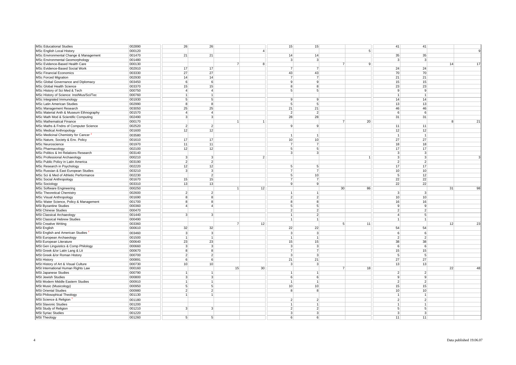| <b>MSc Educational Studies</b>                   | 002890           | 26                      | 26                      |                |                 | 15                               | 15                |                |                | 41                   | 41               |                |          |
|--------------------------------------------------|------------------|-------------------------|-------------------------|----------------|-----------------|----------------------------------|-------------------|----------------|----------------|----------------------|------------------|----------------|----------|
|                                                  |                  |                         |                         |                |                 |                                  |                   |                |                |                      |                  |                | 9        |
| MSc English Local History                        | 000120           |                         |                         |                | $\overline{4}$  |                                  |                   |                | 5 <sup>5</sup> |                      |                  |                |          |
| MSc Environmental Change & Management            | 001470           | 21                      | 21                      |                |                 | 14                               | 14                |                |                | 35                   | 35               |                |          |
| MSc Environmental Geomorphology                  | 001480           |                         |                         |                |                 | $\overline{3}$                   | $\overline{3}$    |                |                | 3 <sup>1</sup>       | $\mathbf{3}$     |                |          |
| MSc Evidence-Based Health Care                   | 000130           |                         |                         | $\overline{7}$ | 8 <sup>1</sup>  |                                  |                   | $\overline{7}$ | 9              |                      |                  | 14             | 17       |
| MSc Evidence-Based Social Work                   | 002910           | 17                      | 17                      |                |                 | $\overline{7}$                   | $\overline{7}$    |                |                | 24                   | 24               |                |          |
| <b>MSc Financial Economics</b>                   | 003330           | 27                      | 27                      |                |                 | 43                               | 43                |                |                | 70                   | 70               |                |          |
| <b>MSc Forced Migration</b>                      | 002930           | 14                      | 14                      |                |                 | $\overline{7}$                   | $\overline{7}$    |                |                | 21                   | 21               |                |          |
| MSc Global Governance and Diplomacy              | 003450           | 6                       | 6                       |                |                 | $\overline{9}$                   | 9                 |                |                | 15                   | 15               |                |          |
| MSc Global Health Science                        | 003370           | 15                      | 15                      |                |                 | 8                                | 8                 |                |                | 23                   | 23               |                |          |
| MSc History of Sci Med & Tech                    | 000750           | $\vert$                 | $\overline{4}$          |                |                 | 5 <sup>5</sup>                   | 5                 |                |                | 9                    | 9                |                |          |
| MSc History of Science: Inst/Mus/Sci/Tec         | 000760           | $\mathbf{1}$            | $\mathbf{1}$            |                |                 |                                  |                   |                |                | $\mathbf{1}$         | $\mathbf{1}$     |                |          |
| MSc Integrated Immunology                        | 001930           | 5 <sup>5</sup>          | 5                       |                |                 | 9                                | 9                 |                |                | 14                   | 14               |                |          |
| <b>MSc Latin American Studies</b>                | 002990           | 8 <sup>1</sup>          | 8                       |                |                 | 5 <sub>5</sub>                   | $\overline{5}$    |                |                | 13                   | 13               |                |          |
| MSc Management Research                          | 003050           | 25                      | 25                      |                |                 | 21                               | 21                |                |                | 46                   | 46               |                |          |
|                                                  |                  | $\vert$                 | $\overline{4}$          |                |                 |                                  | $\overline{2}$    |                |                |                      |                  |                |          |
| MSc Material Anth & Museum Ethnography           | 001570           |                         |                         |                |                 | $\overline{2}$                   |                   |                |                | $6 \mid$             | 6 <sup>1</sup>   |                |          |
| MSc Math Mod & Scientific Computing              | 002490           | 3 <sup>1</sup>          | 3                       |                |                 | 28                               | 28                |                |                | 31                   | 31               |                |          |
| <b>MSc Mathematical Finance</b>                  | 000170           |                         |                         | $\mathbf{1}$   | $\vert$ 1       |                                  |                   | $\overline{7}$ | 20             |                      |                  | 8 <sup>1</sup> | 21       |
| MSc Maths & Fndns of Computer Science            | 002520           | $\overline{2}$          | $\overline{2}$          |                |                 | 9                                | -9                |                |                | 11                   | 11               |                |          |
| <b>MSc Medical Anthropology</b>                  | 001600           | 12                      | 12                      |                |                 |                                  |                   |                |                | 12                   | 12               |                |          |
| MSc Medicinal Chemistry for Cancer               | 003580           |                         |                         |                |                 | 1                                | $\overline{1}$    |                |                | 1                    | $\overline{1}$   |                |          |
| MSc Nature, Society & Env. Policy                | 001610           | 17                      | 17                      |                |                 | 10                               | 10 <sup>1</sup>   |                |                | 27                   | 27               |                |          |
| MSc Neuroscience                                 | 001970           | 11                      | 11                      |                |                 | $\overline{7}$                   | $\overline{7}$    |                |                | 18                   | 18               |                |          |
| MSc Pharmacology                                 | 002100           | 12                      | 12                      |                |                 | 5                                | 5                 |                |                | 17                   | 17               |                |          |
| MSc Politics & Int Relations Research            | 003140           |                         |                         |                |                 | $\mathbf{3}$                     | 3                 |                |                | 3 <sup>1</sup>       | $\mathbf{3}$     |                |          |
| MSc Professional Archaeology                     | 000210           | 3 <sup>1</sup>          | 3 <sup>1</sup>          |                | $\overline{2}$  |                                  |                   |                |                | 3 <sup>1</sup>       | $\mathbf{3}$     |                | 3        |
| MSc Public Policy in Latin America               | 003190           | $\overline{2}$          | $\overline{2}$          |                |                 |                                  |                   |                |                | $\overline{2}$       | $\overline{2}$   |                |          |
| MSc Research in Psychology                       | 002220           | 12                      | 12                      |                |                 | 5 <sup>5</sup>                   | 5                 |                |                | 17                   | 17               |                |          |
| MSc Russian & East European Studies              | 003210           | 3                       | 3                       |                |                 | $\overline{7}$                   | $\overline{7}$    |                |                | 10 <sup>1</sup>      | 10               |                |          |
| MSc Sci & Med of Athletic Performance            | 002230           |                         | $\overline{2}$          |                |                 | 5                                | 10 <sup>1</sup>   |                |                | 5 <sup>1</sup>       | 12               |                |          |
| <b>MSc Social Anthropology</b>                   | 001670           | 15                      | 15                      |                |                 | $\overline{7}$                   | $\overline{7}$    |                |                | 22                   | 22               |                |          |
|                                                  |                  |                         |                         |                |                 |                                  |                   |                |                |                      |                  |                |          |
|                                                  |                  |                         |                         |                |                 |                                  |                   |                |                |                      |                  |                |          |
| <b>MSc Sociology</b>                             | 003310           | 13                      | 13                      |                |                 | $\overline{9}$                   | -9                |                |                | 22                   | 22               |                |          |
| MSc Software Engineering                         | 000250           |                         |                         | $\mathbf{1}$   | 12              |                                  |                   | 30             | 86             |                      |                  | 31             | 98       |
| MSc Theoretical Chemistry                        | 002600           | $\overline{\mathbf{c}}$ | $\overline{2}$          |                |                 | $\overline{1}$                   |                   |                |                | 3 <sup>1</sup>       | 3                |                |          |
| <b>MSc Visual Anthropology</b>                   | 001690           | 8 <sup>1</sup>          | 8                       |                |                 | $\overline{2}$                   | $\overline{2}$    |                |                | 10 <sup>1</sup>      | 10 <sup>1</sup>  |                |          |
| MSc Water Science, Policy & Management           | 001700           | 8 <sup>1</sup>          | 8                       |                |                 | $\overline{8}$                   | $\overline{8}$    |                |                | 16                   | 16               |                |          |
| <b>MSt Byzantine Studies</b>                     | 000360           | $\overline{4}$          | $\overline{a}$          |                |                 | 5 <sup>1</sup>                   | $\overline{5}$    |                |                | $\overline{9}$       | $\overline{9}$   |                |          |
| <b>MSt Chinese Studies</b>                       | 000470           |                         |                         |                |                 | $\overline{2}$                   | $\overline{2}$    |                |                | $\overline{2}$       | $\overline{2}$   |                |          |
| <b>MSt Classical Archaeology</b>                 | 001440           | 3 <sup>1</sup>          | 3                       |                |                 | 1                                | $\overline{2}$    |                |                | 4 <sup>1</sup>       | 5                |                |          |
| <b>MSt Classical Hebrew Studies</b>              | 000490           |                         |                         |                |                 | 1                                | $\overline{1}$    |                |                | 1                    | 1                |                |          |
| <b>MSt Creative Writing</b>                      | 003360           |                         |                         | $\overline{7}$ | 12              |                                  |                   | 5              | 11             |                      |                  | 12             |          |
|                                                  | 000610           | 32                      | 32                      |                |                 | 22                               | 22                |                |                | 54                   | 54               |                |          |
| <b>MSt English</b>                               |                  |                         |                         |                |                 |                                  |                   |                |                |                      |                  |                |          |
| MSt English and American Studies                 | 003460           | 3 <sup>1</sup>          | 3                       |                |                 | $\overline{3}$                   | $\mathbf{B}$      |                |                | 6 <sup>1</sup>       | ĥ                |                |          |
| MSt European Archaeology                         | 001500           | 1 <sup>1</sup>          | $\overline{1}$          |                |                 | 1                                | $\vert$ 1         |                |                | $\overline{2}$       | $\overline{2}$   |                |          |
| MSt European Literature                          | 000640           | 23                      | 23                      |                |                 | 15                               | 15                |                |                | 38                   | 38               |                |          |
| MSt Gen Linguistics & Comp Philology             | 000660           | 3 <sup>1</sup>          | $\overline{\mathbf{3}}$ |                |                 | 3                                | $\lceil 3 \rceil$ |                |                | 6 <sup>1</sup>       | 6 <sup>1</sup>   |                |          |
| MSt Greek &/or Latin Lang & Lit                  | 000670           | 8 <sup>1</sup>          | 8                       |                |                 | $\overline{7}$                   | $\overline{7}$    |                |                | 15                   | 15               |                |          |
| MSt Greek &/or Roman History                     | 000700           | $\overline{2}$          | $\overline{2}$          |                |                 | $\overline{3}$                   | $\mathcal{R}$     |                |                | 5 <sup>1</sup>       | $5 \overline{5}$ |                |          |
| <b>MSt History</b>                               | 000891           | 6 <sup>1</sup>          | 6                       |                |                 | 21                               | 21                |                |                | 27                   | 27               |                |          |
| MSt History of Art & Visual Culture              | 000730           | 10                      | 10                      |                |                 | $\overline{3}$                   | $\overline{3}$    |                |                | 13                   | 13               |                |          |
| MSt International Human Rights Law               | 000160           |                         |                         | 15             | 30 <sup>1</sup> |                                  |                   | $\overline{7}$ | 18             |                      |                  | 22             |          |
| <b>MSt Japanese Studies</b>                      | 000790           | $\mathbf{1}$            | $\mathbf{1}$            |                |                 | $\vert$                          | $\overline{1}$    |                |                | $\overline{2}$       | $\overline{2}$   |                |          |
| <b>MSt Jewish Studies</b>                        | 000800           | $\overline{3}$          | 3                       |                |                 | 6                                | 6                 |                |                | $\overline{9}$       | $\mathbf{9}$     |                |          |
| MSt Modern Middle Eastern Studies                | 000910           | 1 <sup>1</sup>          | $\mathbf{1}$            |                |                 | 1                                | $\vert$ 1         |                |                | $\overline{2}$       | $\overline{2}$   |                |          |
| MSt Music (Musicology)                           | 000950           | 5 <sup>1</sup>          | 5 <sup>1</sup>          |                |                 | 10                               | 10                |                |                | 15                   | 15               |                |          |
| <b>MSt Oriental Studies</b>                      | 000980           | $\overline{2}$          | $\overline{2}$          |                |                 | $\mathbf{8}$                     | 8                 |                |                | 10                   | 10               |                |          |
| MSt Philosophical Theology                       | 001130           | 1 <sup>1</sup>          | 1                       |                |                 |                                  |                   |                |                | 1                    | $\mathbf{1}$     |                |          |
| MSt Science & Religion                           |                  |                         |                         |                |                 | $\overline{2}$                   | $\overline{2}$    |                |                | 2 <sup>1</sup>       | $\overline{2}$   |                |          |
|                                                  | 001180           |                         |                         |                |                 | 1                                | $\overline{1}$    |                |                | 1 <sup>1</sup>       | $\vert$ 1        |                |          |
| <b>MSt Slavonic Studies</b>                      | 001200           |                         | 3                       |                |                 |                                  | $\overline{2}$    |                |                |                      | 5                |                |          |
| MSt Study of Religion                            | 001210           | 3 <sup>1</sup>          |                         |                |                 | $\overline{2}$<br>$\overline{3}$ | 3                 |                |                | 5 <sup>1</sup>       | $\overline{3}$   |                |          |
| <b>MSt Syriac Studies</b><br><b>MSt Theology</b> | 001220<br>001260 | 5 <sup>1</sup>          | 5                       |                |                 | $6 \overline{6}$                 | $\overline{6}$    |                |                | 3 <sup>1</sup><br>11 | 11               |                | 23<br>48 |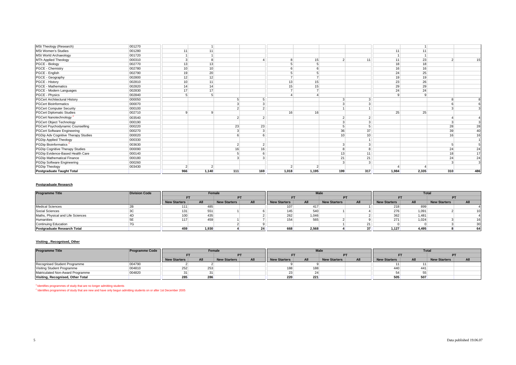|                                         | 001270 |                 |                |        |        |       |       |               |                 |       |       |     |                |
|-----------------------------------------|--------|-----------------|----------------|--------|--------|-------|-------|---------------|-----------------|-------|-------|-----|----------------|
| MSt Theology (Research)                 |        |                 |                |        |        |       |       |               |                 |       |       |     |                |
| <b>MSt Women's Studies</b>              | 001280 | 11              | 11             |        |        |       |       |               |                 | 11    | 11    |     |                |
| MSt World Archaeology                   | 001720 |                 |                |        |        |       |       |               |                 |       |       |     |                |
| MTh Applied Theology                    | 000310 |                 |                |        |        |       | 15    | $\mathcal{P}$ | 11              | 11    | 23    |     | 15             |
| PGCE - Biology                          | 002770 | 13              | 13             |        |        |       |       |               |                 | 18    | 18    |     |                |
| PGCE - Chemistry                        | 002780 | 10 <sup>1</sup> | 10             |        |        |       |       |               |                 | 16    | 16    |     |                |
| PGCE - English                          | 002790 | 19              | 20             |        |        |       |       |               |                 | 24    | 25    |     |                |
| PGCE - Geography                        | 002800 | 12              | 12             |        |        |       |       |               |                 | 19    | 19    |     |                |
| PGCE - History                          | 002810 | 10 <sup>1</sup> | 11             |        |        | 13    | 15    |               |                 | 23    | 26    |     |                |
| <b>PGCE - Mathematics</b>               | 002820 | 14              | 14             |        |        | 15    | 15    |               |                 | 29    | 29    |     |                |
| PGCE - Modern Languages                 | 002830 | 17              | 17             |        |        |       |       |               |                 | 24    | 24    |     |                |
| PGCE - Physics                          | 002840 |                 |                |        |        |       |       |               |                 |       |       |     |                |
| <b>PGCert Architectural History</b>     | 000050 |                 |                |        |        |       |       |               | 3               |       |       |     | 8              |
| <b>PGCert Bioinformatics</b>            | 000070 |                 |                | $\sim$ |        |       |       |               | 3               |       |       |     | 6              |
| <b>PGCert Computer Security</b>         | 000100 |                 |                |        |        |       |       |               |                 |       |       |     | 3              |
| <b>PGCert Diplomatic Studies</b>        | 002710 |                 |                |        |        | 16    | 16    |               |                 | 25    | 25    |     |                |
| PGCert Nanotechnology <sup>2</sup>      | 003540 |                 |                |        | $\sim$ |       |       |               | $\overline{2}$  |       |       |     |                |
| <b>PGCert Object Technology</b>         | 000190 |                 |                |        |        |       |       |               | 3               |       |       |     | 3              |
| <b>PGCert Psychodynamic Counselling</b> | 000220 |                 |                | 23     | 23     |       |       |               | 5               |       |       | 28  | 28             |
| <b>PGCert Software Engineering</b>      | 000270 |                 |                |        |        |       |       | 36            | 37              |       |       | 39  | 40             |
| PGDip Adv Cognitive Therapy Studies     | 000020 |                 |                |        |        |       |       | 10            | 10 <sup>1</sup> |       |       | 16  | 16             |
| PGDip Applied Theology                  | 000330 |                 |                |        |        |       |       |               |                 |       |       |     | 1 <sup>1</sup> |
| PGDip Bioinformatics                    | 003630 |                 |                |        | $\sim$ |       |       |               | 3               |       |       |     |                |
| PGDip Cognitive Therapy Studies         | 000090 |                 |                | 16     | 16     |       |       |               | 8               |       |       | 24  | 24             |
| PGDip Evidence-Based Health Care        | 000140 |                 |                |        |        |       |       | 13            | 11              |       |       | 18  | 17             |
| PGDip Mathematical Finance              | 000180 |                 |                |        |        |       |       | 21            | 21              |       |       | 24  | 24             |
| PGDip Software Engineering              | 000260 |                 |                |        |        |       |       |               | 3               |       |       |     | 3              |
| PGDip Theology                          | 003430 | 2               | $\overline{2}$ |        |        |       |       |               |                 |       |       |     |                |
| <b>Postgraduate Taught Total</b>        |        | 966             | 1,140          | 111    | 169    | 1,018 | 1,195 | 199           | 317             | 1,984 | 2,335 | 310 | 486            |

#### **Postgraduate Research**

| <b>Programme Title</b>             | <b>Division Code</b> |              | Female                     |  |                 |                     | <b>Male</b> |                     |            |                     | <b>Total</b> |                     |                 |
|------------------------------------|----------------------|--------------|----------------------------|--|-----------------|---------------------|-------------|---------------------|------------|---------------------|--------------|---------------------|-----------------|
|                                    |                      |              |                            |  | PT              |                     |             |                     | PT         |                     |              |                     |                 |
|                                    |                      | New Starters | All<br><b>New Starters</b> |  | All             | <b>New Starters</b> | All         | <b>New Starters</b> | <b>All</b> | <b>New Starters</b> | All          | <b>New Starters</b> | All             |
| <b>Medical Sciences</b>            |                      | 1111         | 485                        |  |                 |                     | 417         |                     |            | 218                 | 899          |                     |                 |
| <b>Social Sciences</b>             |                      | 131          | 551                        |  |                 | 145                 | 540         |                     |            | 276                 | 1,091        |                     | 10 <sup>1</sup> |
| Maths, Physical and Life Sciences  |                      | 100          | 435                        |  |                 | 262                 | 1.046       |                     |            | 362                 | 1,481        |                     |                 |
| Humanities                         |                      | 117          | 459                        |  |                 |                     | 565         |                     |            | 271                 | 1,024        |                     | 16              |
| <b>Continuing Education</b>        |                      |              |                            |  |                 |                     |             |                     |            |                     |              |                     | 30              |
| <b>Postgraduate Research Total</b> |                      |              | 1,930                      |  | 24 <sup>1</sup> | 668                 | 2,568       |                     | 37         | 1,127               | 4,495        |                     | 64              |

#### **Visiting , Recognised, Other**

| <b>Programme Title</b>            | <b>Programme Code</b> |              | Female                     |           |     |              | <b>Male</b> |                     |     |                     |     | Total               |     |
|-----------------------------------|-----------------------|--------------|----------------------------|-----------|-----|--------------|-------------|---------------------|-----|---------------------|-----|---------------------|-----|
|                                   |                       |              |                            | <b>PT</b> |     | Е٦           |             |                     | PT  |                     |     |                     |     |
|                                   |                       | New Starters | All<br><b>New Starters</b> |           | All | New Starters | All         | <b>New Starters</b> | All | <b>New Starters</b> | All | <b>New Starters</b> | All |
| Recognised Student Programme      | 004790                |              |                            |           |     |              |             |                     |     |                     |     |                     |     |
| Visiting Student Programme        | 004810                | 252          | 253                        |           |     |              | 188         |                     |     | 440                 | 441 |                     |     |
| Matriculated Non-Award Programme  | 004820                |              |                            |           |     |              |             |                     |     |                     |     |                     |     |
| Visiting, Recognised, Other Total |                       | 285          | 286                        |           |     | 220          | 221         |                     |     | 505                 | 507 |                     |     |

 $<sup>1</sup>$  Identifies programmes of study that are no longer admitting students</sup>

<sup>2</sup> Identifies programmes of study that are new and have only begun admitting students on or after 1st December 2005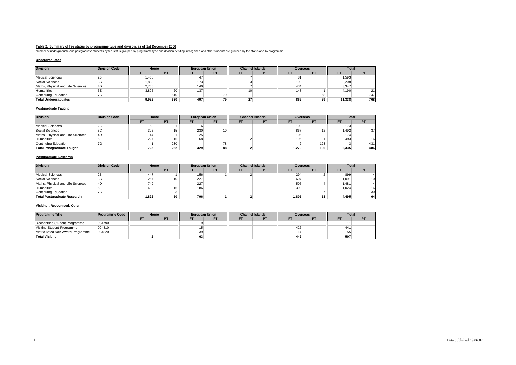Table 2: Summary of fee status by programme type and divison, as of 1st December 2006<br>Number of undergraduate and postgraduate students by fee status grouped by programme type and division. Visiting, recognised and other s

### **Undergraduates**

| <b>Division</b>                   | <b>Division Code</b> | Home  |     |     | <b>European Union</b> |                 | <b>Channel Islands</b> |     | <b>Overseas</b> | <b>Total</b> |               |
|-----------------------------------|----------------------|-------|-----|-----|-----------------------|-----------------|------------------------|-----|-----------------|--------------|---------------|
|                                   |                      |       | PT  |     | PT                    |                 | PT                     | FT  | <b>DT</b>       | FT           | PT            |
| <b>Medical Sciences</b>           | ∠⊳                   | 1.458 |     |     |                       |                 |                        |     |                 | 1,593        |               |
| Social Sciences                   | ЗC                   | 1,833 |     | 173 |                       |                 |                        | 199 |                 | 2,208        |               |
| Maths, Physical and Life Sciences | 4D                   | 2,766 |     | 140 |                       |                 |                        | 434 |                 | 3,347        |               |
| Humanities                        | ЬΕ                   | 3,895 | 20  | 137 |                       | 10 <sup>1</sup> |                        | 148 |                 | 4,190        | $\mathcal{L}$ |
| <b>Continuing Education</b>       | 7G                   |       | 610 |     | 79 <sub>1</sub>       |                 |                        |     |                 |              | 747           |
| <b>Total Undergraduates</b>       |                      | 9,952 | 630 | 497 | 79                    |                 |                        | 862 |                 | 11.338       | 768           |

### **Postgraduate Taught**

| <b>Division</b>                   | <b>Division Code</b> |     | Home            |     | <b>European Union</b> | <b>Channel Islands</b> | <b>Overseas</b>  |                 | Total |     |
|-----------------------------------|----------------------|-----|-----------------|-----|-----------------------|------------------------|------------------|-----------------|-------|-----|
|                                   |                      |     | <b>PT</b>       | FT  | PТ                    | PT                     |                  | PT              |       | DT  |
| <b>Medical Sciences</b>           |                      | 58  |                 |     |                       |                        | 109              |                 | 173   |     |
| Social Sciences                   | ЗC                   | 395 | 15 <sub>1</sub> | 230 | 10 <sup>1</sup>       |                        | 867              | 12 <sub>1</sub> | 1.492 | 37  |
| Maths, Physical and Life Sciences | 4D                   | 44  |                 | 25  |                       |                        | 105 <sub>1</sub> |                 | 174   |     |
| Humanities                        | 5E                   | 227 | 15              | 68  |                       |                        | 196              |                 | 493   | 16  |
| <b>Continuing Education</b>       | 7G                   |     | 230             |     | 78                    |                        |                  | 123             |       | 431 |
| <b>Total Postgraduate Taught</b>  |                      | 725 | 262             | 329 | 88                    |                        | 1.279            | 136             | 2.335 | 486 |

#### **Postgraduate Research**

| <b>Division</b>                    | <b>Division Code</b> | Home  |                 |     | <b>European Union</b> | <b>Channel Islands</b> |    |       | <b>Overseas</b> | <b>Total</b> |                 |
|------------------------------------|----------------------|-------|-----------------|-----|-----------------------|------------------------|----|-------|-----------------|--------------|-----------------|
|                                    |                      |       | PT              | FT  |                       |                        | PT |       | PT              |              | <b>PT</b>       |
| <b>Medical Sciences</b>            | ∠⊳                   | 447   |                 | 156 |                       |                        |    | 294   |                 | 899          |                 |
| Social Sciences                    | ں                    | 257   | 10 <sup>1</sup> | 227 |                       |                        |    | 607   |                 | 1,091        |                 |
| Maths, Physical and Life Sciences  | 4D                   | 749   |                 | 227 |                       |                        |    | 505   |                 | 1,481        |                 |
| Humanities                         | 5Е                   | 439   | 16 <sup>1</sup> | 186 |                       |                        |    | 399   |                 | 1.024        | 16              |
| <b>Continuing Education</b>        | 7G                   |       | 23              |     |                       |                        |    |       |                 |              | 30 <sup>1</sup> |
| <b>Total Postgraduate Research</b> |                      | 1.892 | 50              | 796 |                       |                        |    | 1.805 |                 | 4.495        | 64              |

#### **Visiting , Recognised, Other**

| <b>Programme Title</b>           | <b>Programme Code</b> | Home      | <b>European Union</b> |    | <b>Channel Islands</b> | Overseas |    | Total |     |
|----------------------------------|-----------------------|-----------|-----------------------|----|------------------------|----------|----|-------|-----|
|                                  |                       | <b>DT</b> | FT                    | PT | <b>PT</b>              |          | nт |       | DT. |
| Recognised Student Programme     | 004790                |           |                       |    |                        |          |    |       |     |
| Visiting Student Programme       | 004810                |           |                       |    |                        | 426      |    | 441   |     |
| Matriculated Non-Award Programme | 004820                |           | 39                    |    |                        |          |    | 55    |     |
| <b>Total Visiting</b>            |                       |           | 63                    |    |                        | 442      |    | 507   |     |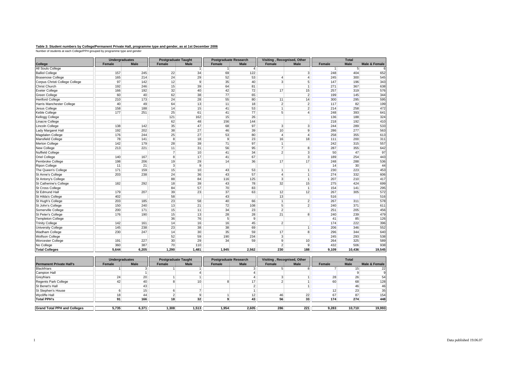# **Table 3: Student numbers by College/Permanent Private Hall, programme type and gender, as at 1st December 2006<br>Number of students at each College/PPH grouped by programme type and gender**

|                                | <b>Undergraduates</b> |             | <b>Postgraduate Taught</b> |                | <b>Postgraduate Research</b> |                | Visiting, Recognised, Other |                        |               | <b>Total</b>   |                          |
|--------------------------------|-----------------------|-------------|----------------------------|----------------|------------------------------|----------------|-----------------------------|------------------------|---------------|----------------|--------------------------|
| College                        | Female                | <b>Male</b> | Female                     | <b>Male</b>    | Female                       | <b>Male</b>    | Female                      | <b>Male</b>            | <b>Female</b> | <b>Male</b>    | <b>Male &amp; Female</b> |
| All Souls College              |                       |             |                            | $\vert$ 1      | 1                            | $\overline{4}$ |                             |                        | $\vert$ 1     | 5 <sup>5</sup> |                          |
| <b>Balliol College</b>         | 157                   | 245         | 22                         | 34             | 69                           | 122            |                             | 3                      | 248           | 404            | 652                      |
| <b>Brasenose College</b>       | 165                   | 214         | 24                         | 29             | 52                           | 53             | 4                           | $\boldsymbol{\Lambda}$ | 245           | 300            | 545                      |
| Corpus Christi College College | 97                    | 142         | 12                         | $\overline{9}$ | 35                           | 40             | 3 <sup>1</sup>              | 5                      | 147           | 196            | 343                      |
| <b>Christ Church</b>           | 192                   | 246         | 15                         | 39             | 64                           | 81             |                             |                        | 271           | 367            | 638                      |
| <b>Exeter College</b>          | 166                   | 192         | 32                         | 40             | 42                           | 72             | 17                          | 15                     | 257           | 319            | 576                      |
| Green College                  | 60                    | 40          | 62                         | 38             | 77                           | 65             |                             | $\overline{2}$         | 199           | 145            | 344                      |
| <b>Hertford College</b>        | 210                   | 173         | 24                         | 28             | 55                           | 80             | 11                          | 14                     | 300           | 295            | 595                      |
| Harris Manchester College      | 40                    | 49          | 64                         | 13             | 11                           | 18             | 2                           | $\overline{2}$         | 117           | 82             | 199                      |
| Jesus College                  | 158                   | 188         | 14                         | 15             | 41                           | 53             | $\mathbf{1}$                | $\overline{2}$         | 214           | 258            | 472                      |
| Keble College                  | 177                   | 251         | 25                         | 61             | 41                           | 77             | 5 <sup>1</sup>              |                        | 248           | 393            | 641                      |
| Kellogg College                |                       |             | 121                        | 162            | 15                           | 26             |                             |                        | 136           | 188            | 324                      |
| Linacre College                |                       |             | 62                         | 48             | 156                          | 144            |                             |                        | 218           | 192            | 410                      |
| <b>Lincoln College</b>         | 138                   | 142         | 35                         | 47             | 68                           | 97             | 3                           | $\overline{3}$         | 244           | 289            | 533                      |
| Lady Margaret Hall             | 192                   | 202         | 38                         | 27             | 46                           | 39             | 10                          | 9                      | 286           | 277            | 563                      |
| Magdalen College               | 176                   | 244         | 25                         | 27             | 53                           | 80             | $\overline{4}$              |                        | 258           | 355            | 613                      |
| <b>Mansfield College</b>       | 78                    | 141         | 8                          | 18             | 9                            | 23             | 16                          | 18                     | 111           | 200            | 311                      |
| <b>Merton College</b>          | 142                   | 179         | 28                         | 39             | 71                           | 97             | 1                           |                        | 242           | 315            | 557                      |
| New College                    | 213                   | 221         | 11                         | 31             | 56                           | 95             | $\overline{7}$              | 8                      | 287           | 355            | 642                      |
| <b>Nuffield College</b>        |                       |             | $\overline{7}$             | 10             | 41                           | 34             | $\overline{2}$              | $\overline{3}$         | 50            | 47             | 97                       |
| Oriel College                  | 140                   | 167         | 8 <sup>1</sup>             | 17             | 41                           | 67             |                             | 3                      | 189           | 254            | 443                      |
| Pembroke College               | 198                   | 206         | 19                         | 29             | 14                           | 36             | 17                          | 17                     | 248           | 288            | 536                      |
| <b>Ripon College</b>           | 11                    | 21          | $\overline{3}$             | 9              |                              |                |                             |                        | 14            | 30             | 44                       |
| The Queen's College            | 171                   | 159         | 15                         | 10             | 43                           | 53             | $\mathbf{1}$                |                        | 230           | 223            | 453                      |
| St Anne's College              | 203                   | 238         | 24                         | 36             | 43                           | 57             | $\overline{4}$              |                        | 274           | 332            | 606                      |
| St Antony's College            |                       |             | 88                         | 84             | 116                          | 125            | 3                           | ×                      | 207           | 210            | 417                      |
| St Catherine's College         | 182                   | 292         | 18                         | 39             | 43                           | 78             | 32                          | 15                     | 275           | 424            | 699                      |
| St Cross College               |                       |             | 84                         | 57             | 70                           | 83             |                             |                        | 154           | 141            | 295                      |
| St Edmund Hall                 | 179                   | 207         | 39                         | 23             | 37                           | 63             | 12                          | 12                     | 267           | 305            | 572                      |
| St Hilda's College             | 402                   |             | 58                         |                | 43                           |                | 13                          |                        | 516           |                | 516                      |
| St Hugh's College              | 203                   | 185         | 23                         | 58             | 40                           | 66             | 1                           | $\overline{2}$         | 267           | 311            | 578                      |
| St John's College              | 150                   | 240         | 13                         | 21             | 72                           | 108            | 5 <sup>1</sup>              | $\overline{2}$         | 240           | 371            | 611                      |
| Somerville College             | 200                   | 171         | 15                         | 11             | 34                           | 23             | $\overline{2}$              |                        | 251           | 205            | 456                      |
| St Peter's College             | 176                   | 190         | 15                         | 13             | 28                           | 28             | 21                          | 8                      | 240           | 239            | 479                      |
| <b>Templeton College</b>       |                       |             | 36                         | 76             | 5 <sup>1</sup>               | 9              |                             |                        | 41            | 85             | 126                      |
| <b>Trinity College</b>         | 142                   | 161         | 14                         | 16             | 16                           | 45             | 2                           |                        | 174           | 222            | 396                      |
| <b>University College</b>      | 145                   | 238         | 23                         | 38             | 38                           | 69             |                             |                        | 206           | 346            | 552                      |
| <b>Wadham College</b>          | 230                   | 247         | 14                         | 30             | 35                           | 59             | 17                          | 8                      | 296           | 344            | 640                      |
| <b>Wolfson College</b>         |                       |             | 52                         | 59             | 190                          | 234            | 3 <sup>1</sup>              |                        | 245           | 293            | 538                      |
| <b>Worcester College</b>       | 191                   | 227         | 30 <sup>°</sup>            | 29             | 34                           | 59             | 9                           | 10                     | 264           | 325            | 589                      |
| No College                     | 360                   | 387         | 70                         | 110            |                              |                | $\mathcal{P}$               | 9                      | 432           | 506            | 938                      |
| <b>Total Colleges</b>          | 5,644                 | 6,205       | 1,290                      | 1,481          | 1,945                        | 2,562          | 230                         | 188                    | 9,109         | 10,436         | 19,545                   |

|                                     | Undergraduates  |             |                 | <b>Postgraduate Taught</b> |        | <b>Postgraduate Research</b> |        | Visiting, Recognised, Other |        | <b>Total</b> |               |
|-------------------------------------|-----------------|-------------|-----------------|----------------------------|--------|------------------------------|--------|-----------------------------|--------|--------------|---------------|
| <b>Permanent Private Hall's</b>     | Female          | <b>Male</b> | Female          | <b>Male</b>                | Female | Male                         | Female | <b>Male</b>                 | Female | <b>Male</b>  | Male & Female |
| <b>Blackfriars</b>                  |                 |             |                 |                            |        |                              |        |                             |        |              | 22            |
| <b>Campion Hall</b>                 |                 |             |                 |                            |        |                              |        |                             |        |              |               |
| Greyfriars                          | 241             | 20          |                 |                            |        |                              |        |                             | 28     | 26           | 54            |
| <b>Regents Park College</b>         | 42 <sub>1</sub> | 40          |                 | 10 <sup>1</sup>            |        |                              |        |                             | 60     | 68           | 128           |
| St Benet's Hall                     |                 | 43          |                 |                            |        |                              |        |                             |        | 46           | 46            |
| St Stephen's House                  |                 |             |                 |                            |        |                              |        |                             | 12     | 23           | 35            |
| <b>Wycliffe Hall</b>                | 18 <sub>1</sub> | 44          |                 |                            |        | 12                           | 46     | 22                          | 67     | 87           | 154           |
| <b>Total PPH's</b>                  | 91              | 166         | 18 <sub>1</sub> | 32 <sup>2</sup>            |        | 43                           | 56     | 33                          | 174    | 274          | 448           |
|                                     |                 |             |                 |                            |        |                              |        |                             |        |              |               |
| <b>Grand Total PPH and Colleges</b> | 5,735           | 6.371       | .308            | 1.513                      | 1,954  | 2,605                        | 286    | 221                         | 9.283  | 10.710       | 19,993        |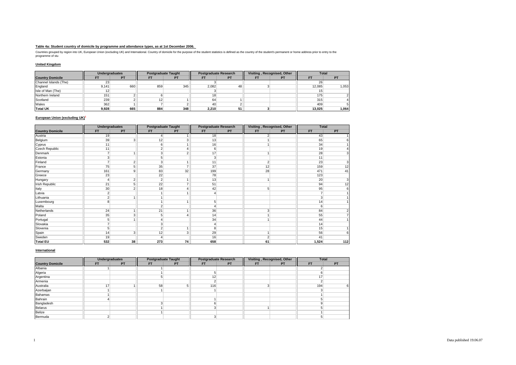### **Table 4a: Student country of domicile by programme and attendance types, as at 1st December 2006.**

Countries grouped by region into UK, European Union (excluding UK) and International. Country of domicile for the purpose of the student statistics is defined as the country of the student's permanent or home address prior

#### **United Kingdom**

|                         | <b>Undergraduates</b> |           |                 | <b>Postgraduate Taught</b> |       | <b>Postgraduate Research</b> |    | Visiting, Recognised, Other | <b>Total</b> |                |
|-------------------------|-----------------------|-----------|-----------------|----------------------------|-------|------------------------------|----|-----------------------------|--------------|----------------|
| <b>Country Domicile</b> | F1                    | <b>PT</b> |                 | <b>PT</b>                  | FТ    | <b>PT</b>                    | EI | <b>PT</b>                   | FT           | P <sub>1</sub> |
| Channel Islands (The)   | 23                    |           |                 |                            |       |                              |    |                             |              |                |
| England                 | 9.141                 | 660       | 859             | 345                        | 2.082 | 48                           |    |                             | 12.085       | 1,053          |
| Isle of Man (The)       |                       |           |                 |                            |       |                              |    |                             |              |                |
| Northern Ireland        | 151                   |           |                 |                            | 18    |                              |    |                             | 175          |                |
| Scotland                | 239                   |           | 12 <sup>1</sup> |                            | 64    |                              |    |                             | 315          |                |
| Wales                   | 362                   |           |                 |                            | 40    |                              |    |                             | 409          |                |
| <b>Total UK</b>         | 9,928                 | 665       | 884             | 348                        | 2.210 | 51                           |    |                             | 13.025       | 1,064          |

## **European Union (excluding UK)<sup>1</sup>**

|                         | <b>Undergraduates</b> |                | <b>Postgraduate Taught</b> |                          | <b>Postgraduate Research</b> |    | Visiting, Recognised, Other |    | <b>Total</b>   |           |
|-------------------------|-----------------------|----------------|----------------------------|--------------------------|------------------------------|----|-----------------------------|----|----------------|-----------|
| <b>Country Domicile</b> | <b>FT</b>             | <b>PT</b>      | <b>FT</b>                  | <b>PT</b>                | <b>FT</b>                    | PT | <b>FT</b>                   | PT | <b>FT</b>      | <b>PT</b> |
| Austria                 | 19                    |                |                            |                          | 18                           |    | $\sim$                      |    | 43             |           |
| Belgium                 | 39                    | 3              | 12                         | 3                        | 13                           |    |                             |    | 65             |           |
| Cyprus                  | 11                    |                | $6 \mid$                   |                          | 16                           |    |                             |    | 34             |           |
| Czech Republic          | 11                    |                | $\overline{2}$             | $\overline{\bf 4}$       | $6 \mid$                     |    |                             |    | 19             |           |
| Denmark                 | $\overline{ }$        | 1              | 3 <sup>1</sup>             | $\overline{2}$           | 17                           |    |                             |    | 28             |           |
| Estonia                 | $\overline{3}$        |                | 5                          |                          | 3 <sup>1</sup>               |    |                             |    | 11             |           |
| Finland                 | ÷                     | $\overline{2}$ | 3 <sup>1</sup>             | $\overline{A}$           | 11                           |    | $\overline{2}$              |    | 23             |           |
| France                  | 75                    | 5              | 35                         | $\overline{7}$           | 37                           |    | 12                          |    | 159            | 12        |
| Germany                 | 161                   | 9              | 83                         | 32                       | 199                          |    | 28                          |    | 471            | 41        |
| Greece                  | 23                    |                | 22                         |                          | 78                           |    |                             |    | 123            |           |
| Hungary                 | $\overline{4}$        | $\overline{2}$ | 2                          | $\overline{ }$           | 13                           |    |                             |    | 20             |           |
| Irish Republic          | 21                    | 5              | 22                         | $\overline{7}$           | 51                           |    |                             |    | 94             | 12        |
| Italy                   | 30                    | $\overline{2}$ | 18                         | $\overline{a}$           | 42                           |    | 5                           |    | 95             |           |
| Latvia                  | $\overline{2}$        |                |                            | 1                        | $\overline{4}$               |    |                             |    | $\overline{ }$ |           |
| Lithuania               | $\overline{2}$        |                |                            |                          |                              |    |                             |    | 3              |           |
| Luxembourg              | 8                     |                |                            | -4                       | 5 <sup>1</sup>               |    |                             |    | 14             |           |
| Malta                   |                       |                | $\mathsf{2}$               |                          | 4                            |    |                             |    | 6              |           |
| Netherlands             | 24                    | 1              | 21                         | 1                        | 36                           |    | 3                           |    | 84             |           |
| Poland                  | 35                    | 3              | 5                          | $\boldsymbol{\varDelta}$ | 14                           |    |                             |    | 55             |           |
| Portugal                | 5                     |                |                            |                          | 34                           |    |                             |    | 44             |           |
| Slovakia                |                       |                | 3 <sup>1</sup>             |                          | $\overline{4}$               |    |                             |    | 14             |           |
| Slovenia                | 5                     |                | $\overline{2}$             | 1                        | 8 <sup>1</sup>               |    |                             |    | 15             |           |
| Spain                   | 14                    | 3              | 12                         | 3                        | 29                           |    |                             |    | 56             |           |
| Sweden                  | 19                    |                |                            |                          | 16                           |    | $\overline{2}$              |    | 41             |           |
| <b>Total EU</b>         | 532                   | 38             | 273                        | 74                       | 658                          |    | 61                          |    | 1,524          | 112       |

#### **International**

|                         |           | Undergraduates |           | <b>Postgraduate Taught</b> |           | <b>Postgraduate Research</b> |           | Visiting, Recognised, Other | <b>Total</b> |           |
|-------------------------|-----------|----------------|-----------|----------------------------|-----------|------------------------------|-----------|-----------------------------|--------------|-----------|
| <b>Country Domicile</b> | <b>FT</b> | <b>PT</b>      | <b>FT</b> | PT                         | <b>FT</b> | <b>PT</b>                    | <b>FT</b> | <b>PT</b>                   | <b>FT</b>    | <b>PT</b> |
| Albania                 |           |                |           |                            |           |                              |           |                             |              |           |
| Algeria                 |           |                |           |                            |           |                              |           |                             |              |           |
| Argentina               |           |                |           |                            | 12        |                              |           |                             | 47           |           |
| Armenia                 |           |                |           |                            |           |                              |           |                             |              |           |
| Australia               | 17        |                | 58        |                            | 116       |                              |           |                             | 194          |           |
| Azerbaijan              |           |                |           |                            |           |                              |           |                             |              |           |
| Bahamas                 |           |                |           |                            |           |                              |           |                             |              |           |
| Bahrain                 |           |                |           |                            |           |                              |           |                             |              |           |
| Bangladesh              |           |                |           |                            |           |                              |           |                             |              |           |
| Belarus                 |           |                |           |                            |           |                              |           |                             |              |           |
| Belize                  |           |                |           |                            |           |                              |           |                             |              |           |
| Bermuda                 |           |                |           |                            |           |                              |           |                             |              |           |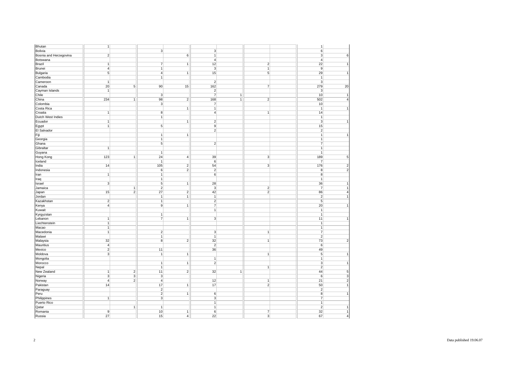| Bhutan                 | $\overline{1}$ |                         |                     |                 |                |                |                | $\mathbf{1}$     |                         |
|------------------------|----------------|-------------------------|---------------------|-----------------|----------------|----------------|----------------|------------------|-------------------------|
| Bolivia                |                |                         | $\overline{3}$      |                 | $\sqrt{3}$     |                |                | $\mathbf 6$      |                         |
| Bosnia and Herzegovina | $\overline{2}$ |                         |                     | $\sqrt{6}$      | $\overline{1}$ |                |                | $\overline{3}$   | 6                       |
| Botswana               |                |                         |                     |                 | $\overline{4}$ |                |                | $\overline{4}$   |                         |
| <b>Brazil</b>          | $\mathbf{1}$   |                         | $\overline{7}$      | $\overline{1}$  | 12             |                | $\overline{2}$ | 22               | $\mathbf{1}$            |
| <b>Brunei</b>          | $\overline{4}$ |                         | $\overline{1}$      |                 | $\sqrt{3}$     |                | $\overline{1}$ | $\overline{9}$   |                         |
| Bulgaria               | $\sqrt{5}$     |                         | $\overline{4}$      | $\mathbf{1}$    | 15             |                | 5              | 29               | $\mathbf{1}$            |
| Cambodia               |                |                         | $\overline{1}$      |                 |                |                |                | $\mathbf{1}$     |                         |
| Cameroon               | $\mathbf{1}$   |                         |                     |                 | $\mathbf{2}$   |                |                | 3                |                         |
| Canada                 | 20             | 5                       | 90                  | 15              | 162            |                | $\overline{7}$ | 279              | 20                      |
| Cayman Islands         | $\overline{1}$ |                         |                     |                 | $\overline{2}$ |                |                | $\mathbf{3}$     |                         |
| Chile                  |                |                         | $\overline{3}$      |                 | $\overline{7}$ | $\mathbf{1}$   |                | 10               | $\mathbf{1}$            |
| China                  | 234            | $\overline{1}$          | 98                  | $\overline{2}$  | 168            | $\overline{1}$ | $\overline{2}$ | 502              | $\overline{4}$          |
| Colombia               |                |                         | $\overline{3}$      |                 | $\overline{7}$ |                |                | 10               |                         |
| Costa Rica             |                |                         |                     | $\mathbf{1}$    | 1              |                |                | $\mathbf{1}$     | $\mathbf{1}$            |
| Croatia                |                |                         |                     |                 |                |                |                | 14               |                         |
|                        | $\mathbf{1}$   |                         | 8<br>$\overline{1}$ |                 | $\overline{4}$ |                | $\mathbf{1}$   |                  |                         |
| Dutch West Indies      |                |                         |                     |                 |                |                |                | $\mathbf{1}$     |                         |
| Ecuador                | $\overline{1}$ |                         |                     | $\overline{1}$  | $\overline{2}$ |                |                | $\overline{3}$   | $\overline{1}$          |
| Egypt                  | $\overline{1}$ |                         | $\overline{5}$      |                 | 9              |                |                | 15               |                         |
| El Salvador            |                |                         |                     |                 | $\overline{2}$ |                |                | $\boldsymbol{2}$ |                         |
| Fiji                   |                |                         | 1                   | $\mathbf{1}$    |                |                |                | $\mathbf{1}$     | $\mathbf{1}$            |
| Georgia                |                |                         | $\overline{1}$      |                 |                |                |                | $\mathbf{1}$     |                         |
| Ghana                  |                |                         | $\overline{5}$      |                 | $\overline{2}$ |                |                | $\overline{7}$   |                         |
| Gibraltar              | $\overline{1}$ |                         |                     |                 |                |                |                | $\mathbf{1}$     |                         |
| Guyana                 |                |                         | $\overline{1}$      |                 |                |                |                | $\mathbf{1}$     |                         |
| Hong Kong              | 123            | $\mathbf{1}$            | 24                  | $\vert 4 \vert$ | 39             |                | $\overline{3}$ | 189              | $\overline{5}$          |
| Iceland                |                |                         | $\mathbf{1}$        |                 | 6              |                |                | $\overline{7}$   |                         |
| India                  | 14             |                         | 105                 | $\overline{2}$  | 54             |                | 3              | 176              | $\overline{c}$          |
| Indonesia              |                |                         | $\boldsymbol{6}$    | $\overline{2}$  | $\overline{2}$ |                |                | $\bf 8$          | $\overline{2}$          |
| Iran                   | $\overline{1}$ |                         | $\overline{1}$      |                 | $\mathbf 6$    |                |                | $\bf 8$          |                         |
| Iraq                   |                |                         | 1                   |                 |                |                |                | $\mathbf{1}$     |                         |
| Israel                 | $\overline{3}$ |                         | $\overline{5}$      | $\overline{1}$  | 28             |                |                | 36               | $\mathbf{1}$            |
| Jamaica                |                | $\mathbf{1}$            | $\overline{2}$      |                 | $\overline{3}$ |                | $\overline{2}$ | $\overline{7}$   | $\overline{1}$          |
| Japan                  | 15             | $\overline{2}$          | 27                  | $\overline{2}$  | 42             |                | $\overline{2}$ | 86               | $\overline{4}$          |
| Jordan                 |                |                         | $\overline{1}$      | $\overline{1}$  | $\overline{1}$ |                |                | $\overline{2}$   | $\overline{1}$          |
| Kazakhstan             | $\overline{2}$ |                         | $\overline{1}$      |                 | $\overline{2}$ |                |                | $\overline{5}$   |                         |
| Kenya                  | $\overline{4}$ |                         | 9                   | $\overline{1}$  | $\overline{7}$ |                |                | 20               | $\mathbf{1}$            |
| Kuwait                 |                |                         |                     |                 | $\mathbf{1}$   |                |                | $\mathbf{1}$     |                         |
| Kyrgyzstan             |                |                         | 1                   |                 |                |                |                | $\mathbf{1}$     |                         |
| Lebanon                | $\overline{1}$ |                         | $\overline{7}$      | $\overline{1}$  | $\overline{3}$ |                |                | 11               | $\overline{1}$          |
| Liechtenstein          | $\mathbf{1}$   |                         |                     |                 |                |                |                | $\mathbf{1}$     |                         |
| Macao                  | $\overline{1}$ |                         |                     |                 |                |                |                | $\mathbf{1}$     |                         |
| Macedonia              | $\overline{1}$ |                         | $\overline{2}$      |                 | $\overline{3}$ |                | $\overline{1}$ | $\overline{7}$   |                         |
| Malawi                 |                |                         | $\overline{1}$      |                 | 1              |                |                | $\overline{2}$   |                         |
|                        | 32             |                         | $\overline{8}$      | $\overline{2}$  | 32             |                | $\overline{1}$ | 73               | $\overline{2}$          |
| Malaysia               |                |                         |                     |                 | $\overline{2}$ |                |                |                  |                         |
| Mauritius              | $\overline{4}$ |                         |                     |                 |                |                |                | $6\overline{6}$  |                         |
| Mexico                 | $\overline{2}$ |                         | 11                  |                 | 36             |                |                | 49               |                         |
| Moldova                | $\overline{3}$ |                         | $\overline{1}$      | 1               |                |                | $\mathbf{1}$   | $\overline{5}$   | $\mathbf{1}$            |
| Mongolia               |                |                         |                     |                 | 1              |                |                | $\mathbf{1}$     |                         |
| Morocco                |                |                         | 1                   | 1               | $\overline{2}$ |                |                | 3                | $\overline{1}$          |
| Nepal                  |                |                         | 1                   |                 |                |                | $\mathbf{1}$   | $\sqrt{2}$       |                         |
| New Zealand            | $\mathbf{1}$   | $\overline{2}$          | 11                  | $\overline{2}$  | 32             | $\mathbf{1}$   |                | 44               | 5                       |
| Nigeria                | $\overline{3}$ | $\overline{\mathbf{3}}$ | $\overline{3}$      |                 |                |                |                | $\overline{6}$   | $\overline{\mathbf{3}}$ |
| Norway                 | $\overline{4}$ | $\overline{2}$          | $\overline{4}$      |                 | 12             |                | $\overline{1}$ | 21               | $\overline{2}$          |
| Pakistan               | 14             |                         | 17                  | $\overline{1}$  | 17             |                | $\mathbf 2$    | 50               | $\overline{1}$          |
| Paraguay               |                |                         | $\overline{2}$      |                 |                |                |                | $\boldsymbol{2}$ |                         |
| Peru                   |                |                         | $\overline{2}$      | $\overline{1}$  | 6              |                |                | $\bf 8$          | $\overline{1}$          |
| Philippines            | $\overline{1}$ |                         | $\overline{3}$      |                 | $\overline{3}$ |                |                | $\overline{7}$   |                         |
| Puerto Rico            |                |                         |                     |                 | $\overline{1}$ |                |                | $\mathbf{1}$     |                         |
| Qatar                  |                | $\mathbf{1}$            | $\mathbf{1}$        |                 | $\mathbf{1}$   |                |                | $\boldsymbol{2}$ | $\mathbf{1}$            |
| Romania                | 9              |                         | 10                  | $\mathbf{1}$    | 6              |                | 7              | 32               | $\overline{1}$          |
| Russia                 | 27             |                         | 15                  | $\vert$         | 22             |                | $\overline{3}$ | 67               | $\overline{4}$          |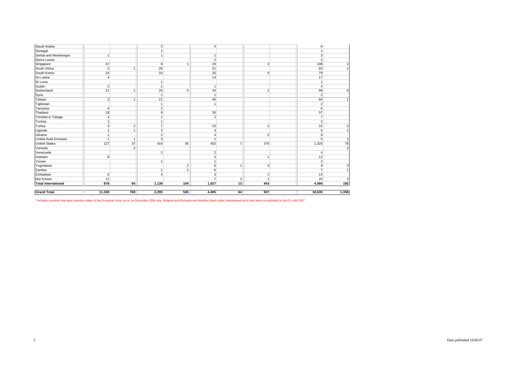| <b>Grand Total</b>          | 11,338         | 768            | 2,295                            | 526               | 4,495               | 64                 | 507            | 18,635              | 1,358                   |
|-----------------------------|----------------|----------------|----------------------------------|-------------------|---------------------|--------------------|----------------|---------------------|-------------------------|
|                             |                |                |                                  |                   |                     |                    |                |                     |                         |
| <b>Total International</b>  | 878            | 65             | 1,138                            | 104               | 1,627               | $\mathbf{2}$<br>13 | 443            | 4,086               | $\overline{182}$        |
| Not Known                   | 12             |                |                                  |                   | 3<br>$\overline{7}$ |                    | 1              | 20                  | $\overline{\mathbf{c}}$ |
| Zambia<br>Zimbabwe          | 6              |                | $\overline{1}$<br>$\overline{4}$ |                   | 6                   |                    | $\mathbf{1}$   | 14                  |                         |
| Yugoslavia                  |                |                |                                  | $\mathbf{2}$<br>1 | 6                   |                    | 3 <sup>1</sup> | 9<br>$\overline{7}$ | 3                       |
| Yemen                       |                |                | $\mathbf{1}$                     |                   | $\overline{1}$      | $\overline{ }$     |                | $\overline{2}$      |                         |
| Vietnam                     | 8              |                |                                  |                   | 3                   |                    | 1              | 12                  |                         |
| Venezuela                   |                |                | $\overline{2}$                   |                   | $\overline{2}$      |                    |                | $\boldsymbol{4}$    |                         |
| Vanuatu                     |                | $\overline{2}$ |                                  |                   |                     |                    |                |                     | $\overline{2}$          |
| <b>United States</b>        | 127            | 37             | 416                              | 35                | 402                 |                    | 375            | 1,320               | 79                      |
| <b>United Arab Emirates</b> | $\overline{1}$ | $\overline{1}$ | $\overline{3}$                   |                   | $\overline{1}$      | $\overline{7}$     |                | 5                   | $\overline{1}$          |
| Ukraine                     | $\mathbf{1}$   |                | $\overline{2}$                   |                   | $\overline{4}$      |                    | $\overline{2}$ | 9                   |                         |
| Uganda                      | $\mathbf{1}$   | 1              | $\overline{2}$                   |                   | 3                   |                    |                | 6                   |                         |
| Turkey                      | $\overline{3}$ | $\overline{2}$ | $\overline{7}$                   |                   | 10                  |                    | $\overline{2}$ | 22                  | $\overline{\mathbf{c}}$ |
| Tunisia                     | $\mathbf{1}$   |                | $\mathbf{1}$                     |                   |                     |                    |                | $\overline{2}$      |                         |
| Trinidad & Tobago           | $\overline{4}$ |                | $\mathbf{1}$                     |                   | $\overline{2}$      |                    |                | $\overline{7}$      |                         |
| Thailand                    | 18             |                | 9                                |                   | 30                  |                    |                | 57                  |                         |
| Tanzania                    | $\overline{4}$ |                | $\overline{2}$                   |                   |                     |                    |                | 6                   |                         |
| Tajikistan                  |                |                | $\overline{1}$                   |                   | $\overline{1}$      |                    |                | $\overline{2}$      |                         |
| Taiwan                      | $\overline{3}$ | $\overline{1}$ | 21                               |                   | 40                  |                    |                | 64                  |                         |
| Syria                       |                |                | $\overline{1}$                   |                   | $\overline{1}$      |                    |                | $\overline{2}$      |                         |
| Switzerland                 | 21             | 1              | 20                               | 5                 | 43                  |                    | $\overline{2}$ | 86                  | 6                       |
| Sudan                       | $\overline{2}$ |                | $\mathbf{1}$                     |                   | $\overline{1}$      |                    |                | $\overline{4}$      |                         |
| St Lucia                    |                |                | $\overline{1}$                   |                   |                     |                    |                |                     |                         |
| Sri Lanka                   | $\overline{4}$ |                |                                  |                   | 13                  |                    |                | 17                  |                         |
| South Korea                 | 24             |                | 16                               |                   | 35                  |                    | $\overline{4}$ | 79                  |                         |
| South Africa                | 5              | $\overline{1}$ | 26                               |                   | 51                  |                    |                | 82                  |                         |
| Singapore                   | 67             |                | $\overline{9}$                   | 1                 | 29                  |                    | 3              | 108                 |                         |
| Sierra Leone                |                |                |                                  |                   | $\overline{2}$      |                    |                | $\overline{2}$      |                         |
| Serbia and Montenegro       | $\overline{1}$ |                | $\mathbf{1}$                     |                   | $\overline{1}$      |                    |                | 3                   |                         |
| Senegal                     |                |                |                                  |                   |                     |                    |                |                     |                         |

<sup>1</sup> Includes countries that were member states of the European Union as at 1st December 2006 only. Bulgaria and Romania are therefore listed under International since they were not admitted to the EU until 2007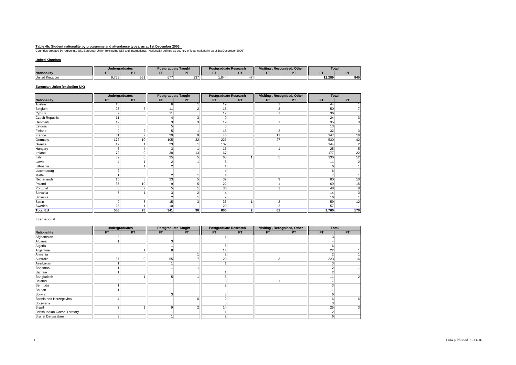<u>Table 4b: Student nationality by programme and attendance types, as at 1st December 2006.<br>Countries grouped by region into UK, European Union (excluding UK) and International. Nationality defined as country of legal natio</u>

### **United Kingdom**

|                       | <b>Undergraduates</b> |           | <b>Traduate Taught</b><br><b>Post</b> |               | ıduate Research<br>Postara |  | Visiting. | . Recognised. Other | <b>Total</b> |     |
|-----------------------|-----------------------|-----------|---------------------------------------|---------------|----------------------------|--|-----------|---------------------|--------------|-----|
| <b>Nationallity</b>   |                       | <b>DT</b> |                                       |               |                            |  |           |                     |              |     |
| <b>United Kingdom</b> | 9.768                 | 561       | 0/1                                   | ~~<br>- 237 1 | .844                       |  |           |                     | 12.289       | 845 |

## **European Union (excluding UK)<sup>2</sup>**

|                     | <b>Undergraduates</b> |                | <b>Postgraduate Taught</b> |                |           | <b>Postgraduate Research</b> |                | Visiting, Recognised, Other | <b>Total</b>   |                |
|---------------------|-----------------------|----------------|----------------------------|----------------|-----------|------------------------------|----------------|-----------------------------|----------------|----------------|
| <b>Nationaility</b> | <b>FT</b>             | PT             | <b>FT</b>                  | <b>PT</b>      | <b>FT</b> | <b>PT</b>                    | <b>FT</b>      | PT                          | <b>FT</b>      | PT             |
| Austria             | 18                    |                | 6                          |                | 19        |                              |                |                             | 44             |                |
| Belgium             | 23                    | 5              | 11                         |                | 13        |                              | $\overline{3}$ |                             | 50             |                |
| Cyprus              | $\overline{7}$        |                | 11                         |                | 17        |                              | $\overline{1}$ |                             | 36             |                |
| Czech Republic      | 11                    |                |                            | 3              | 9         |                              |                |                             | 24             | 3 <sup>1</sup> |
| Denmark             | 12                    |                | 3                          | 3              | 19        |                              | $\mathbf{1}$   |                             | 35             | 3 <sup>1</sup> |
| Estonia             | 3                     |                | 5                          |                | 5         |                              |                |                             | 13             |                |
| Finland             | 9                     | $\overline{2}$ | 5                          |                | 16        |                              | $\overline{2}$ |                             | 32             | 3 <sup>1</sup> |
| France              | 61                    | $\overline{ }$ | 29                         | 9              | 46        |                              | 11             |                             | 147            | 16             |
| Germany             | 172                   | 10             | 105                        | 32             | 226       |                              | 27             |                             | 530            | 42             |
| Greece              | 19                    |                | 23                         |                | 102       |                              |                |                             | 144            | 2              |
| Hungary             | 5                     |                | 3                          |                | 16        |                              | $\mathbf{1}$   |                             | 25             | 5              |
| Ireland             | 72                    | 9              | 38                         | 13             | 67        |                              |                |                             | 177            | 22             |
| Italy               | 32                    | 6              | 25                         | 5              | 68        |                              | 5              |                             | 130            | 12             |
| Latvia              |                       |                | $\overline{2}$             |                |           |                              |                |                             | 11             |                |
| _ithuania           |                       |                | $\overline{2}$             |                |           |                              |                |                             | 6              |                |
| Luxembourg          | $\sim$                |                |                            |                |           |                              |                |                             | 6              |                |
| Malta               |                       |                | $\overline{2}$             |                |           |                              |                |                             | $\overline{7}$ |                |
| Netherlands         | 15                    | 5              | 23                         | 5              | 39        |                              | $\mathbf{3}$   |                             | 80             | 10             |
| Poland              | 37                    | 10             | 9                          |                | 22        |                              |                |                             | 69             | 15             |
| Portugal            | 6                     | $\overline{7}$ | 5                          |                | 36        |                              |                |                             | 48             | 8              |
| Slovakia            |                       | и              | 3                          | $\overline{2}$ |           |                              |                |                             | 14             |                |
| Slovenia            | 5                     |                | $\overline{2}$             |                | 9         |                              |                |                             | 16             |                |
| Spain               | 9                     | 8              | 15                         | 3              | 33        |                              | $\overline{2}$ |                             | 59             | 12             |
| Sweden              | 25                    |                | 10                         |                | 20        |                              | $\overline{2}$ |                             | 57             |                |
| <b>Total EU</b>     | 558                   | 78             | 341                        | 90             | 800       | $\overline{\mathbf{2}}$      | 61             |                             | 1,760          | 170            |

#### **International**

|                                       | <b>Undergraduates</b> |           |           | <b>Postgraduate Taught</b> | <b>Postgraduate Research</b> |           | Visiting, Recognised, Other |           | <b>Total</b> |           |
|---------------------------------------|-----------------------|-----------|-----------|----------------------------|------------------------------|-----------|-----------------------------|-----------|--------------|-----------|
| <b>Nationaility</b>                   | <b>FT</b>             | <b>PT</b> | <b>FT</b> | <b>PT</b>                  | <b>FT</b>                    | <b>PT</b> | <b>FT</b>                   | <b>PT</b> | <b>FT</b>    | <b>PT</b> |
| Afghanistan                           |                       |           |           |                            |                              |           |                             |           |              |           |
| Albania                               |                       |           |           |                            |                              |           |                             |           |              |           |
| Algeria                               |                       |           |           |                            | 5                            |           |                             |           | h            |           |
| Argentina                             |                       |           | 8         |                            | 14                           |           |                             |           | 22           |           |
| Armenia                               |                       |           |           |                            | $\overline{2}$               |           |                             |           | $\Omega$     |           |
| Australia                             | 37                    | 9         | 55        |                            | 128                          |           | 3                           |           | 223          | 16        |
| Azerbaijan                            |                       |           |           |                            |                              |           |                             |           |              |           |
| Bahamas                               |                       |           |           |                            |                              |           |                             |           |              |           |
| Bahrain                               |                       |           |           |                            |                              |           |                             |           |              |           |
| Bangladesh                            |                       |           |           |                            |                              |           |                             |           | 11           |           |
| <b>Belarus</b>                        |                       |           |           |                            |                              |           |                             |           |              |           |
| Bermuda                               |                       |           |           |                            |                              |           |                             |           |              |           |
| Bhutan                                |                       |           |           |                            |                              |           |                             |           |              |           |
| <b>Bolivia</b>                        |                       |           | $\sim$    |                            | 3                            |           |                             |           |              |           |
| Bosnia and Herzegovina                |                       |           |           | 6                          |                              |           |                             |           |              |           |
| Botswana                              |                       |           |           |                            |                              |           |                             |           |              |           |
| <b>Brazil</b>                         |                       |           | q         | $\overline{\phantom{a}}$   | 14                           |           |                             |           | 25           |           |
| <b>British Indian Ocean Territory</b> |                       |           |           |                            |                              |           |                             |           |              |           |
| Brunei Darussalam                     |                       |           |           |                            |                              |           |                             |           | n            |           |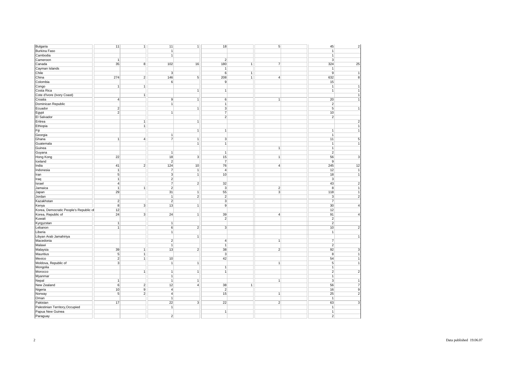| Bulgaria                               | 11             | $\overline{1}$ | 11                      | $\overline{1}$ | 18              |                | $\overline{5}$ | 45                      | $\overline{2}$ |
|----------------------------------------|----------------|----------------|-------------------------|----------------|-----------------|----------------|----------------|-------------------------|----------------|
| <b>Burkina Faso</b>                    |                |                | $\mathbf{1}$            |                |                 |                |                | $\overline{1}$          |                |
| Cambodia                               |                |                | $\overline{1}$          |                |                 |                |                | $\mathbf{1}$            |                |
|                                        | $\mathbf{1}$   |                |                         |                | $\overline{2}$  |                |                | 3                       |                |
| Cameroon                               |                |                |                         |                |                 |                |                |                         |                |
| Canada                                 | 35             | 8              | 102                     | 16             | 180             | $\vert$        | $\overline{7}$ | 324                     | 25             |
| Cayman Islands                         |                |                |                         |                | $\mathbf{1}$    |                |                | $\overline{1}$          |                |
| Chile                                  |                |                | $\mathbf{3}$            |                | 6               | $\mathbf{1}$   |                | 9                       | $\mathbf{1}$   |
| China                                  | 274            | $\overline{2}$ | 146                     | 5              | 208             | $\overline{1}$ | $\overline{4}$ | 632                     | 8              |
| Colombia                               |                |                | 6 <sup>1</sup>          |                | 9               |                |                | 15                      |                |
|                                        |                |                |                         |                |                 |                |                |                         |                |
| Congo                                  | $\vert$        | 1              |                         |                |                 |                |                | $\overline{1}$          | $\mathbf{1}$   |
| Costa Rica                             |                |                |                         | $\mathbf{1}$   | 1               |                |                | $\overline{1}$          |                |
| Cote d'Ivore (Ivory Coast)             |                | 1              |                         |                |                 |                |                |                         | 1              |
| Croatia                                | $\overline{4}$ |                | $\overline{9}$          | $\overline{1}$ | $6\overline{6}$ |                | $\overline{1}$ | 20                      | $\overline{1}$ |
| Dominican Republic                     |                |                | 1                       |                | $\mathbf{1}$    |                |                | $\overline{2}$          |                |
| Ecuador                                | 2 <sup>2</sup> |                |                         | $\mathbf{1}$   | 3 <sup>1</sup>  |                |                | 5                       | $\overline{1}$ |
|                                        |                |                |                         |                |                 |                |                |                         |                |
| Egypt                                  | $\overline{2}$ |                | 1                       |                | $\overline{7}$  |                |                | 10                      |                |
| El Salvador                            |                |                |                         |                | $\overline{2}$  |                |                | $\overline{2}$          |                |
| Eritrea                                |                | $\mathbf{1}$   |                         | $\mathbf{1}$   |                 |                |                |                         | 2              |
| Ethiopia                               |                | 1              |                         |                |                 |                |                |                         | 1              |
| Fiji                                   |                |                |                         | $\mathbf{1}$   | $\vert$         |                |                | $\overline{1}$          | 1              |
|                                        |                |                | 1                       |                |                 |                |                | $\overline{1}$          |                |
| Georgia                                |                |                |                         |                |                 |                |                |                         |                |
| Ghana                                  | $\mathbf{1}$   | $\overline{4}$ | $\overline{7}$          | $\mathbf{1}$   | $\overline{3}$  |                |                | 11                      | 5              |
| Guatemala                              |                |                |                         | $\overline{1}$ | $\overline{1}$  |                |                | $\overline{1}$          | $\overline{1}$ |
| Guinea                                 |                |                |                         |                |                 |                | $\mathbf{1}$   | $\mathbf{1}$            |                |
| Guyana                                 |                |                | $\overline{1}$          |                | $\mathbf{1}$    |                |                | $\overline{2}$          |                |
| Hong Kong                              | 22             |                | 18                      | $\mathbf{3}$   | 15              |                | $\mathbf{1}$   | 56                      | 3              |
|                                        |                |                | $\overline{2}$          |                |                 |                |                | 9                       |                |
| Iceland                                |                |                |                         |                | $\overline{7}$  |                |                |                         |                |
| India                                  | 41             | $\overline{2}$ | 124                     | 10             | 76              |                | 4              | 245                     | 12             |
| Indonesia                              | $\mathbf{1}$   |                | $\overline{7}$          | $\overline{1}$ | $\overline{4}$  |                |                | 12                      | $\overline{1}$ |
| Iran                                   | $\sqrt{5}$     |                | $\overline{3}$          | $\overline{1}$ | 10              |                |                | 18                      | $\overline{1}$ |
| Iraq                                   | $\mathbf{1}$   |                | 2                       |                |                 |                |                | 3                       |                |
| Israel                                 | $\overline{4}$ |                | $\overline{7}$          | $\overline{2}$ | 32              |                |                | 43                      | $\overline{2}$ |
|                                        | $\overline{1}$ |                | $\overline{2}$          |                | $\overline{3}$  |                |                | 8                       | $\overline{1}$ |
| Jamaica                                |                | $\mathbf{1}$   |                         |                |                 |                | $\sqrt{2}$     |                         |                |
| Japan                                  | 29             |                | 31                      | $\mathbf{1}$   | 55              |                | $\overline{3}$ | 118                     | $\overline{1}$ |
| Jordan                                 |                |                | $\overline{1}$          | $\overline{2}$ | $\overline{2}$  |                |                | $\overline{\mathbf{3}}$ | $\overline{2}$ |
| Kazakhstan                             | $\mathbf{2}$   |                | $\overline{2}$          |                | 3 <sup>1</sup>  |                |                | $\overline{7}$          |                |
| Kenya                                  | $\overline{8}$ | $\overline{3}$ | 13                      | $\mathbf{1}$   | $\overline{9}$  |                |                | 30                      | $\overline{4}$ |
| Korea, Democratic People's Republic of | 12             |                |                         |                |                 |                |                | 12                      |                |
|                                        |                |                |                         |                |                 |                |                |                         |                |
| Korea, Republic of                     | 24             | 3 <sup>1</sup> | 24                      | $\mathbf{1}$   | 39              |                | 4              | 91                      | $\overline{4}$ |
| Kuwait                                 |                |                |                         |                | $\overline{2}$  |                |                | $\overline{2}$          |                |
| Kyrgyzstan                             | $\mathbf{1}$   |                | $\mathbf{1}$            |                |                 |                |                | $\overline{2}$          |                |
| Lebanon                                | $\mathbf{1}$   |                | 6 <sup>1</sup>          | $\overline{2}$ | 3               |                |                | 10                      | $\overline{2}$ |
| Liberia                                |                |                | 1                       |                |                 |                |                | $\mathbf{1}$            |                |
| Libyan Arab Jamahiriya                 |                |                |                         | $\mathbf{1}$   |                 |                |                |                         | $\overline{1}$ |
|                                        |                |                |                         |                |                 |                |                |                         |                |
| Macedonia                              |                |                | $\overline{2}$          |                | $\vert$         |                | $\mathbf{1}$   | $\overline{7}$          |                |
| Malawi                                 |                |                | $\mathbf{1}$            |                | $\mathbf{1}$    |                |                | $\overline{2}$          |                |
| Malaysia                               | 39             | $\overline{1}$ | 13                      | $\overline{2}$ | 38              |                | $\overline{2}$ | 92                      | 3              |
| Mauritius                              | 5 <sub>5</sub> | $\overline{1}$ |                         |                | 3               |                |                | $\boldsymbol{8}$        | $\overline{1}$ |
| Mexico                                 | $\overline{2}$ | 1              | 10                      |                | 42              |                |                | 54                      | 1              |
|                                        |                |                |                         |                |                 |                |                |                         |                |
| Moldova, Republic of                   | $\mathbf{3}$   |                | $\mathbf{1}$            | $\mathbf{1}$   |                 |                | $\mathbf{1}$   | $5\overline{)}$         | $\mathbf{1}$   |
| Mongolia                               |                |                |                         |                | $\vert$         |                |                | $\overline{1}$          |                |
| Morocco                                |                | $\overline{1}$ | $\mathbf{1}$            | $\mathbf{1}$   | $\overline{1}$  |                |                | $\overline{2}$          | 2              |
| Myanmar                                |                |                | $\overline{1}$          |                |                 |                |                | $\mathbf{1}$            |                |
| Nepal                                  | $\overline{1}$ |                | $\overline{1}$          | $\overline{1}$ |                 |                | $\mathbf{1}$   | $\overline{\mathbf{3}}$ | $\overline{1}$ |
| New Zealand                            | 6              | $\overline{2}$ | 12                      | $\overline{4}$ | 38              | $\mathbf{1}$   |                | 56                      | $\overline{7}$ |
|                                        | 10             | $\overline{9}$ |                         |                | $\overline{2}$  |                |                |                         |                |
| Nigeria                                |                |                | $\overline{4}$          |                |                 |                |                | 16                      | 9              |
| Norway                                 | $\overline{5}$ | $\overline{2}$ | $\overline{\mathbf{4}}$ |                | 15              |                | $\mathbf{1}$   | 25                      | $\overline{2}$ |
| Oman                                   |                |                | $\overline{1}$          |                |                 |                |                | $\overline{1}$          |                |
| Pakistan                               | 17             |                | 22                      | $\overline{3}$ | 22              |                | $\overline{2}$ | 63                      | 3              |
| Palestinian Territory, Occupied        |                |                | 1                       |                |                 |                |                | $\overline{1}$          |                |
| Papua New Guinea                       |                |                |                         |                | $\mathbf{1}$    |                |                | $\mathbf{1}$            |                |
|                                        |                |                |                         |                |                 |                |                |                         |                |
| Paraguay                               |                |                | $\mathbf{2}$            |                |                 |                |                | $\mathbf{2}$            |                |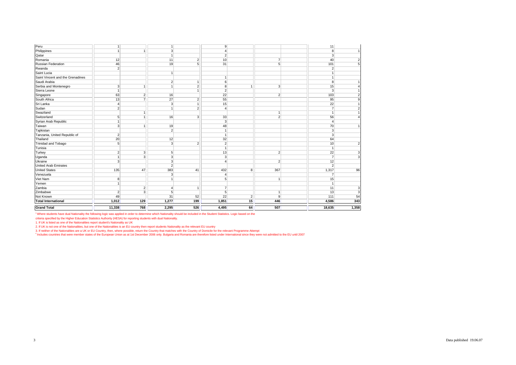| <b>Grand Total</b>               | 11,338                  | 768            | 2,295          | 526             | 4,495                  | 64             | 507            | 18,635         | 1,358                   |
|----------------------------------|-------------------------|----------------|----------------|-----------------|------------------------|----------------|----------------|----------------|-------------------------|
| <b>Total International</b>       | 1,012                   | 129            | 1,277          | 199             | 1,851                  | 15             | 446            | 4,586          | 343                     |
| Not Known                        | 49                      |                | 31             | 52              | 22                     | $\overline{2}$ | 9              | 111            | 54                      |
| Zimbabwe                         | $\overline{\mathbf{c}}$ | 3              | 5 <sup>5</sup> |                 | 5                      |                | -1             | 13             | 3                       |
| Zambia                           |                         | $\overline{2}$ | 4              | $\overline{1}$  | $\overline{7}$         |                |                | 11             | 3                       |
| Yemen                            | 1                       |                |                |                 |                        |                |                | $\mathbf{1}$   |                         |
| Viet Nam                         | 8                       |                |                |                 | 5                      |                |                | 15             |                         |
| Venezuela                        |                         |                | 3 <sup>1</sup> |                 | $\overline{4}$         |                |                | $\overline{7}$ |                         |
| <b>United States</b>             | 135                     | 47             | 383            | 41              | 432                    | 8              | 367            | 1,317          | 96                      |
| <b>United Arab Emirates</b>      |                         |                | $\overline{2}$ |                 |                        |                |                | $\overline{2}$ |                         |
| Ukraine                          | 3                       |                | 3 <sup>1</sup> |                 | $\boldsymbol{\Lambda}$ |                | $\overline{2}$ | 12             |                         |
| Uganda                           | 1                       | 3              | 3 <sup>1</sup> |                 | 3                      |                |                | $\overline{7}$ | 3                       |
| Turkey                           | $\overline{\mathbf{c}}$ | $\mathbf{3}$   | 5 <sup>1</sup> |                 | 13                     |                | $\overline{2}$ | 22             | 3                       |
| Tunisia                          |                         |                |                |                 | $\mathbf{1}$           |                |                | $\mathbf{1}$   |                         |
| Trinidad and Tobago              | 5                       |                | 3 <sup>1</sup> | $\overline{2}$  | $\overline{2}$         |                |                | 10             | $\overline{c}$          |
| Thailand                         | 20                      |                | 12             |                 | 32                     |                |                | 64             |                         |
| Tanzania, United Republic of     | $\overline{2}$          |                |                |                 | $\overline{1}$         |                |                | $\overline{3}$ |                         |
| Tajikistan                       |                         |                | 2 <sup>1</sup> |                 | $\mathbf{1}$           |                |                | 3              |                         |
| Taiwan                           | 3                       | $\mathbf{1}$   | 19             |                 | 48                     |                |                | 70             |                         |
| Syrian Arab Republic             | 1                       |                |                |                 | 3                      |                |                | $\overline{4}$ |                         |
| Switzerland                      | 5                       | $\overline{1}$ | 16             | $\overline{3}$  | 33                     |                | $\overline{2}$ | 56             |                         |
| Swaziland                        |                         | $\mathbf{1}$   |                |                 |                        |                | -1             | $\mathbf{1}$   |                         |
| Sudan                            | $\overline{2}$          |                |                | $\overline{2}$  | $\overline{4}$         |                |                | $\overline{7}$ | $\overline{2}$          |
| Sri Lanka                        | $\overline{4}$          |                | 3 <sup>1</sup> | $\mathbf{1}$    | 15                     |                |                | 22             |                         |
| South Africa                     | 13                      | $\overline{7}$ | 27             | $\overline{2}$  | 55                     |                |                | 95             | 9                       |
| Singapore                        | 63                      | $\overline{2}$ | 16             |                 | 22                     |                | $\overline{2}$ | 103            | 2                       |
| Sierra Leone                     | $\overline{1}$          |                |                | $\overline{1}$  | $\overline{2}$         |                |                | $\mathbf{3}$   |                         |
| Serbia and Montenegro            | 3                       | $\overline{1}$ | 1              | $\overline{2}$  | 8                      | 1              | 3              | 15             |                         |
| Saudi Arabia                     |                         |                | $\overline{2}$ | $\overline{1}$  | 6                      |                |                | $\overline{8}$ |                         |
| Saint Vincent and the Grenadines |                         |                |                |                 | $\mathbf{1}$           |                |                | $\vert$ 1      |                         |
| Saint Lucia                      |                         |                | 1              |                 |                        |                |                | $\mathbf{1}$   |                         |
| Rwanda                           | 2 <sup>1</sup>          |                |                |                 |                        |                |                | $\overline{2}$ |                         |
| <b>Russian Federation</b>        | 46                      |                | 19             | $5\overline{5}$ | 31                     |                | 5              | 101            | 5 <sub>l</sub>          |
| Romania                          | 12                      |                | 11             | $\overline{2}$  | 10                     |                | $\overline{7}$ | 40             | $\overline{\mathbf{c}}$ |
| Qatar                            |                         |                | $\mathbf{1}$   |                 | $\overline{2}$         |                |                | $\overline{3}$ |                         |
| Philippines                      | $\overline{1}$          | $\overline{1}$ | 3 <sup>1</sup> |                 | $\overline{4}$         |                |                | 8              | 1                       |
| Peru                             | $\mathbf{1}$            |                | $\mathbf{1}$   |                 | 9                      |                |                | 11             |                         |
|                                  |                         |                |                |                 |                        |                |                |                |                         |

<sup>1</sup> Where students have dual Nationality the following logic was applied in order to determine which Nationality should be included in the Student Statistics. Logic based on the<br>criteria specified by the Higher Education S

2. If UK is not one of the Nationalities, but one of the Nationalities is an EU country then report students Nationality as the relevant EU country

3. If neither of the Nationalities are a UK or EU Country, then, where possible, return the Country that matches with the Country of Domicile for the relevant Programme Attempt<br><sup>2</sup> Includes countries that were member state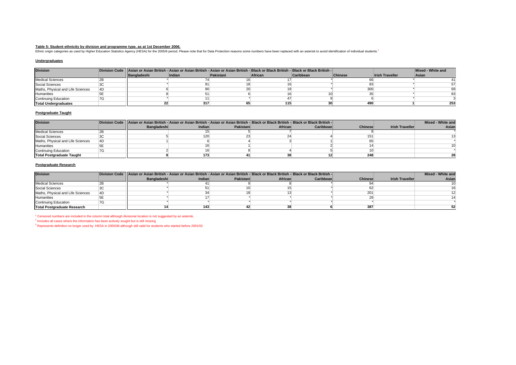## **Table 5: Student ethnicity by division and programme type, as at 1st December 2006.**

Ethnic origin categories as used by Higher Education Statistics Agency (HESA) for the 2005/6 period. Please note that for Data Protection reasons some numbers have been replaced with an asterisk to avoid identification of

### **Undergraduates**

| <b>Division</b>                   |    |             | Division Code   Asian or Asian British - Asian or Asian British - Asian or Asian British - Black or Black British - Black or Black British - |           |         |                  |         |                        | Mixed - White and |
|-----------------------------------|----|-------------|----------------------------------------------------------------------------------------------------------------------------------------------|-----------|---------|------------------|---------|------------------------|-------------------|
|                                   |    | Bangladeshi | Indian                                                                                                                                       | Pakistani | African | <b>Caribbean</b> | Chinese | <b>Irish Traveller</b> | Asian             |
| <b>Medical Sciences</b>           |    |             |                                                                                                                                              |           |         |                  |         |                        |                   |
| Social Sciences                   |    |             |                                                                                                                                              |           |         |                  |         |                        |                   |
| Maths, Physical and Life Sciences | 4D |             |                                                                                                                                              |           |         |                  | 300     |                        |                   |
| Humanities                        |    |             |                                                                                                                                              |           |         |                  |         |                        |                   |
| <b>Continuing Education</b>       |    |             |                                                                                                                                              |           |         |                  |         |                        |                   |
| <b>Total Undergraduates</b>       |    |             | 317                                                                                                                                          |           | 115     |                  | 490     |                        | 253               |

#### **Postgraduate Taught**

| <b>Division</b>                   |    |                    | Division Code   Asian or Asian British - Asian or Asian British - Asian or Asian British - Black or Black British - Black or Black British - I |           |         |           |                |                        | Mixed - White and |
|-----------------------------------|----|--------------------|------------------------------------------------------------------------------------------------------------------------------------------------|-----------|---------|-----------|----------------|------------------------|-------------------|
|                                   |    | <b>Bangladeshi</b> | Indian                                                                                                                                         | Pakistani | African | Caribbean | <b>Chinese</b> | <b>Irish Traveller</b> | Asian             |
| <b>Medical Sciences</b>           |    |                    |                                                                                                                                                |           |         |           |                |                        |                   |
| Social Sciences                   |    |                    | 120                                                                                                                                            |           |         |           |                |                        |                   |
| Maths, Physical and Life Sciences | 4D |                    |                                                                                                                                                |           |         |           |                |                        |                   |
| Humanities                        |    |                    |                                                                                                                                                |           |         |           |                |                        |                   |
| <b>Continuing Education</b>       |    |                    |                                                                                                                                                |           |         |           |                |                        |                   |
| Total Postgraduate Taught         |    |                    | 173                                                                                                                                            |           |         |           | 248            |                        |                   |

#### **Postgraduate Research**

| <b>Division</b>                    |    | Division Code   Asian or Asian British - Asian or Asian British - Asian or Asian British - Black or Black British - Black or Black British - |        |           |         |           |                |                        | Mixed - White and |
|------------------------------------|----|----------------------------------------------------------------------------------------------------------------------------------------------|--------|-----------|---------|-----------|----------------|------------------------|-------------------|
|                                    |    | Bangladeshi                                                                                                                                  | Indian | Pakistani | African | Caribbean | <b>Chinese</b> | <b>Irish Traveller</b> | Asian             |
| <b>Medical Sciences</b>            |    |                                                                                                                                              |        |           |         |           |                |                        |                   |
| Social Sciences                    |    |                                                                                                                                              |        |           |         |           |                |                        |                   |
| Maths, Physical and Life Sciences  | AD |                                                                                                                                              |        |           |         |           | 201            |                        |                   |
| Humanities                         |    |                                                                                                                                              |        |           |         |           |                |                        |                   |
| Continuing Education               |    |                                                                                                                                              |        |           |         |           |                |                        |                   |
| <b>Total Postgraduate Research</b> |    |                                                                                                                                              | 143    |           |         |           | 387            |                        |                   |

<sup>1</sup> Censored numbers are included in the column total although divisional location is not suggested by an asterisk.

<sup>2</sup> Includes all cases where the information has been actively sought but is still missing

<sup>3</sup> Represents definition no longer used by HESA in 2005/06 although still valid for students who started before 2001/02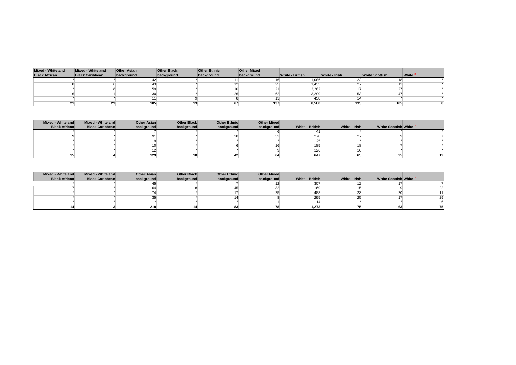| Mixed - White and    | Mixed - White and      | <b>Other Asian</b> | <b>Other Black</b> | <b>Other Ethnic</b> | <b>Other Mixed</b> |                        |               |                       |       |
|----------------------|------------------------|--------------------|--------------------|---------------------|--------------------|------------------------|---------------|-----------------------|-------|
| <b>Black African</b> | <b>Black Caribbean</b> | background         | background         | background          | background         | <b>White - British</b> | White - Irish | <b>White Scottish</b> | White |
|                      |                        |                    |                    |                     |                    | 1,086                  | ∠∠            |                       |       |
|                      |                        |                    |                    |                     | رے                 | 1.435                  |               |                       |       |
|                      |                        |                    |                    |                     | 21                 | 2,282                  |               |                       |       |
|                      |                        |                    |                    |                     | 62                 | 3,299                  |               |                       |       |
|                      |                        |                    |                    |                     |                    | 458                    |               |                       |       |
|                      |                        | 185                |                    |                     | 137                | 8,560                  | 133           | 105                   |       |

| Mixed - White and    | Mixed - White and      | <b>Other Asian</b> | <b>Other Black</b> | <b>Other Ethnic</b> | <b>Other Mixed</b> |                 |               |                        |                 |
|----------------------|------------------------|--------------------|--------------------|---------------------|--------------------|-----------------|---------------|------------------------|-----------------|
| <b>Black African</b> | <b>Black Caribbean</b> | background         | background         | background          | background         | White - British | White - Irish | White Scottish White 3 |                 |
|                      |                        |                    |                    |                     |                    |                 |               |                        |                 |
|                      |                        | 91                 |                    | $\Omega$<br>20      | 32                 | 270             | ີ             |                        |                 |
|                      |                        |                    |                    |                     |                    | 25              |               |                        |                 |
|                      |                        | 10                 |                    |                     |                    | 185             |               |                        |                 |
|                      |                        |                    |                    |                     |                    | 126             |               |                        |                 |
|                      |                        | 129                | 10 <sub>1</sub>    | 42                  | 64                 | 647             |               | 23                     | 12 <sup>1</sup> |

| Mixed - White and    | Mixed - White and      | <b>Other Asian</b> | Other Black | <b>Other Ethnic</b> | <b>Other Mixed</b> |                 |               |                        |    |
|----------------------|------------------------|--------------------|-------------|---------------------|--------------------|-----------------|---------------|------------------------|----|
| <b>Black African</b> | <b>Black Caribbean</b> | background         | background  | background          | background         | White - British | White - Irish | White Scottish White 3 |    |
|                      |                        |                    |             |                     |                    | 307             |               |                        |    |
|                      |                        |                    |             |                     |                    | 169             |               |                        |    |
|                      |                        |                    |             |                     | ≘                  | 488             |               | 20                     |    |
|                      |                        |                    |             |                     |                    | 295             |               |                        | 20 |
|                      |                        |                    |             |                     |                    |                 |               |                        |    |
|                      |                        | 218                |             | 83                  | 78                 | 1.273           |               | 63                     | 75 |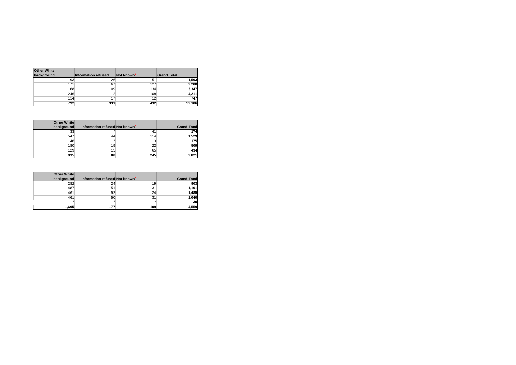| <b>Other White</b> |                            |                        |                    |
|--------------------|----------------------------|------------------------|--------------------|
| background         | <b>Information refused</b> | Not known <sup>2</sup> | <b>Grand Total</b> |
| 93                 | 26                         | 51                     | 1,593              |
| 171                | 67                         | 127                    | 2,208              |
| 168                | 109                        | 134                    | 3,347              |
| 246                | 112                        | 108                    | 4,211              |
| 114                | 17                         | 12                     | 747                |
| 792                | 331                        | 432                    | 12.106             |

| <b>Other White</b><br>background | Information refused Not known <sup>2</sup> |     | <b>Grand Total</b> |
|----------------------------------|--------------------------------------------|-----|--------------------|
| 33                               |                                            | 41  | 174                |
| 547                              | 44                                         | 114 | 1,529              |
| 46                               |                                            |     | 175                |
| 180                              | 19 <sub>1</sub>                            | 22  | 509                |
| 129                              | 15                                         | 65  | 434                |
| 935                              | 80                                         | 245 | 2,821              |

| Other White |                                            |     |                    |
|-------------|--------------------------------------------|-----|--------------------|
| background  | Information refused Not known <sup>2</sup> |     | <b>Grand Total</b> |
| 282         | 24                                         | 19  | 903                |
| 487         | 51                                         | 31  | 1,101              |
| 461         | 52                                         | 24  | 1,485              |
| 461         | 50                                         | 31  | 1,040              |
| ×           | $\star$                                    | ٠   | 30                 |
| 1.695       | 177                                        | 109 | 4,559              |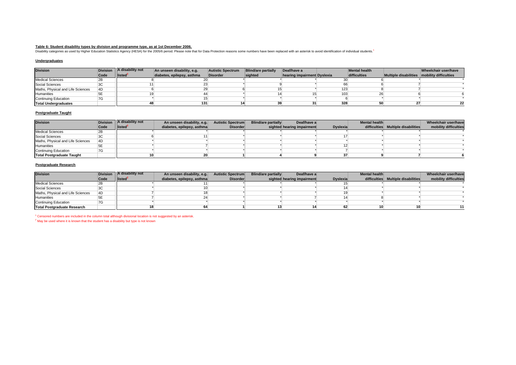# **Table 6: Student disability types by division and programme type, as at 1st December 2006.**

Disability categories as used by Higher Education Statistics Agency (HESA) for the 2005/6 period. Please note that for Data Protection reasons some numbers have been replaced with an asterisk to avoid identification of ind

### **Undergraduates**

| <b>Division</b>                   |      | Division   A disability not | An unseen disability, e.g. | <b>Autistic Spectrum</b> | <b>Blind/are partially</b> | Deaf/have a                 |     | <b>Mental health</b> |                                               | Wheelchair user/have |
|-----------------------------------|------|-----------------------------|----------------------------|--------------------------|----------------------------|-----------------------------|-----|----------------------|-----------------------------------------------|----------------------|
|                                   | Code | listed <sup>2</sup>         | diabetes, epilepsy, asthma | <b>Disorder</b>          | sighted                    | hearing impairment Dyslexia |     | difficulties         | Multiple disabilities   mobility difficulties |                      |
| <b>Medical Sciences</b>           |      |                             |                            |                          |                            |                             |     |                      |                                               |                      |
| Social Sciences                   |      |                             |                            |                          |                            |                             |     |                      |                                               |                      |
| Maths, Physical and Life Sciences | 4D   |                             |                            |                          |                            |                             | 123 |                      |                                               |                      |
| Humanities                        |      |                             |                            |                          |                            |                             | 103 | zu                   |                                               |                      |
| <b>Continuing Education</b>       |      |                             |                            |                          |                            |                             |     |                      |                                               |                      |
| <b>Total Undergraduates</b>       |      |                             | 131                        |                          |                            |                             | 328 |                      |                                               | 22                   |

#### **Postgraduate Taught**

| <b>Division</b>                   | <b>Division</b> | A disability not | An unseen disability, e.g. | <b>Autistic Spectrum</b> | <b>Blind/are partially</b> | Deaf/have a                |                 | <b>Mental health</b> |                                    | Wheelchair user/have  |
|-----------------------------------|-----------------|------------------|----------------------------|--------------------------|----------------------------|----------------------------|-----------------|----------------------|------------------------------------|-----------------------|
|                                   | Code            | listed           | diabetes, epilepsy, asthma | <b>Disorder</b>          |                            | sighted hearing impairment | <b>Dyslexia</b> |                      | difficulties Multiple disabilities | mobility difficulties |
| <b>Medical Sciences</b>           |                 |                  |                            |                          |                            |                            |                 |                      |                                    |                       |
| Social Sciences                   |                 |                  |                            |                          |                            |                            |                 |                      |                                    |                       |
| Maths, Physical and Life Sciences | 4D              |                  |                            |                          |                            |                            |                 |                      |                                    |                       |
| Humanities                        |                 |                  |                            |                          |                            |                            |                 |                      |                                    |                       |
| Continuing Education              | 7G              |                  |                            |                          |                            |                            |                 |                      |                                    |                       |
| <b>Total Postgraduate Taught</b>  |                 | 10               | 20                         |                          |                            |                            | 37              |                      |                                    |                       |

#### **Postgraduate Research**

| <b>Division</b>                    |      | <b>Division</b> A disability not | An unseen disability, e.g. | <b>Autistic Spectrum</b> | <b>Blind/are partially</b> | Deaf/have a                |                 | Mental health |                                    | Wheelchair user/have  |
|------------------------------------|------|----------------------------------|----------------------------|--------------------------|----------------------------|----------------------------|-----------------|---------------|------------------------------------|-----------------------|
|                                    | Code | listed <sup>2</sup>              | diabetes, epilepsy, asthma | <b>Disorder</b>          |                            | sighted hearing impairment | <b>Dyslexia</b> |               | difficulties Multiple disabilities | mobility difficulties |
| <b>Medical Sciences</b>            |      |                                  |                            |                          |                            |                            |                 |               |                                    |                       |
| Social Sciences                    |      |                                  |                            |                          |                            |                            |                 |               |                                    |                       |
| Maths, Physical and Life Sciences  | 4D   |                                  |                            |                          |                            |                            |                 |               |                                    |                       |
| Humanities                         |      |                                  |                            |                          |                            |                            |                 |               |                                    |                       |
| <b>Continuing Education</b>        |      |                                  |                            |                          |                            |                            |                 |               |                                    |                       |
| <b>Total Postgraduate Research</b> |      |                                  |                            |                          |                            |                            |                 |               |                                    |                       |

<sup>1</sup> Censored numbers are included in the column total although divisional location is not suggested by an asterisk.  $2$  May be used where it is known that the student has a disability but type is not known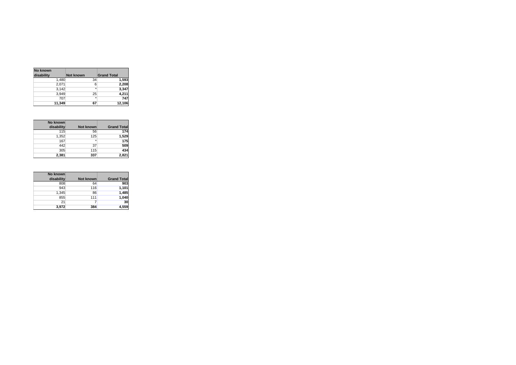| No known   |                   |                    |
|------------|-------------------|--------------------|
| disability | <b>Not known</b>  | <b>Grand Total</b> |
| 1,480      | 34                | 1,593              |
| 2,071      | 6                 | 2,208              |
| 3.142      | $\overline{\ast}$ | 3,347              |
| 3,949      | 25                | 4,211              |
| 707        | $\star$           | 747                |
| 11,349     | 67                | 12,106             |

| No known   |           |                    |
|------------|-----------|--------------------|
| disability | Not known | <b>Grand Total</b> |
| 115        | 56        | 174                |
| 1,352      | 125       | 1,529              |
| 167        | $\star$   | 175                |
| 442        | 37        | 509                |
| 305        | 115       | 434                |
| 2,381      | 337       | 2,821              |

| No known   |                  |                    |
|------------|------------------|--------------------|
| disability | <b>Not known</b> | <b>Grand Total</b> |
| 808        | 64               | 903                |
| 943        | 116              | 1,101              |
| 1,345      | 86               | 1,485              |
| 855        | 111              | 1,040              |
| 21         |                  | 30                 |
| 3,972      | 384              | 4.559              |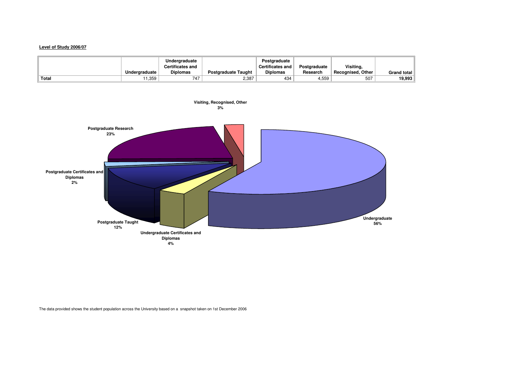# **Level of Study 2006/07**

|       |               | Underaraduate           |                            | Postaraduate            |              |                          |                    |
|-------|---------------|-------------------------|----------------------------|-------------------------|--------------|--------------------------|--------------------|
|       |               | <b>Certificates and</b> |                            | <b>Certificates and</b> | Postaraduate | Visiting,                |                    |
|       | Undergraduate | <b>Diplomas</b>         | <b>Postgraduate Taught</b> | <b>Diplomas</b>         | Research     | <b>Recognised, Other</b> | <b>Grand total</b> |
| Total | 11.359        | 747<br>4.               | 2,387                      | 434                     | 4,559        | 507                      | 19.993             |



The data provided shows the student population across the University based on a snapshot taken on 1st December 2006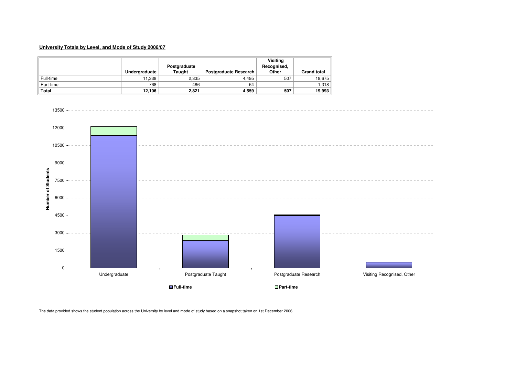# **University Totals by Level, and Mode of Study 2006/07**

|           | Undergraduate | Postgraduate<br>Taught | <b>Postgraduate Research</b> | Visiting<br>Recognised,<br>Other | <b>Grand total</b> |
|-----------|---------------|------------------------|------------------------------|----------------------------------|--------------------|
| Full-time | 11,338        | 2,335                  | 4.495                        | 507                              | 18,675             |
| Part-time | 768           | 486                    | 64                           | -                                | 1,318              |
| Total     | 12,106        | 2,821                  | 4,559                        | 507                              | 19,993             |



The data provided shows the student population across the University by level and mode of study based on a snapshot taken on 1st December 2006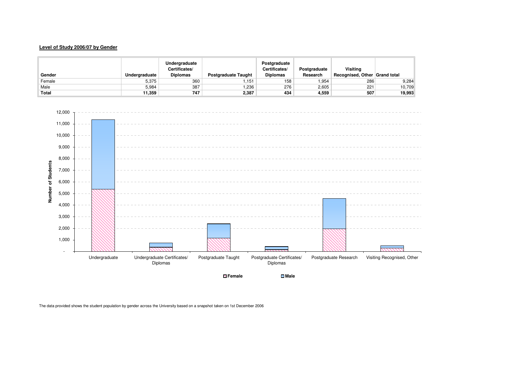# **Level of Study 2006/07 by Gender**

| Gender | Undergraduate | Undergraduate<br>Certificates/<br><b>Diplomas</b> | <b>Postgraduate Taught</b> | Postaraduate<br>Certificates/<br><b>Diplomas</b> | Postgraduate<br>Research | Visitina<br>Recognised, Other Grand total |        |
|--------|---------------|---------------------------------------------------|----------------------------|--------------------------------------------------|--------------------------|-------------------------------------------|--------|
| Female | 5,375         | 360                                               | 1.151                      | 158                                              | .954                     | 286                                       | 9,284  |
| Male   | 5.984         | 387                                               | 236. ا                     | 276                                              | 2,605                    | 221                                       | 10,709 |
| Total  | 11.359        | 747                                               | 2,387                      | 434                                              | 4,559                    | 507                                       | 19,993 |



**Female**

The data provided shows the student population by gender across the University based on a snapshot taken on 1st December 2006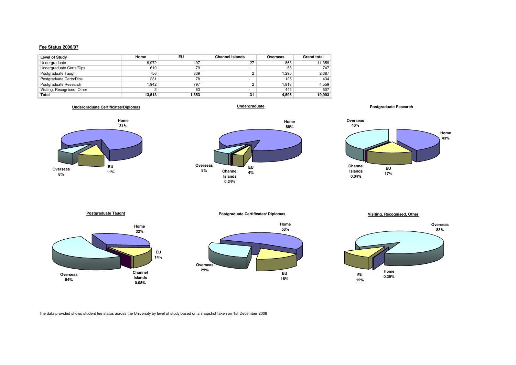# **Fee Status 2006/07**

| Level of Study              | Home   | EU    | <b>Channel Islands</b> | Overseas | <b>Grand total</b> |
|-----------------------------|--------|-------|------------------------|----------|--------------------|
| Undergraduate               | 9,972  | 497   | 27                     | 863      | 11.359             |
| Undergraduate Certs/Dips    | 610    | 79    | -                      | 58       | 747                |
| Postgraduate Taught         | 756    | 339   |                        | l.290    | 2,387              |
| Postgraduate Certs/Dips     | 231    | 78    | -                      | 125      | 434                |
| Postgraduate Research       | 1.942  | 797   |                        | 1.818    | 4,559              |
| Visiting, Recognised, Other |        | 63    | -                      | 442      | 507                |
| Total                       | 13,513 | 1,853 | 31                     | 4,596    | 19.993             |

**Undergraduate Certificates/Diplomas**

**Undergraduate**















**Visiting, Recognised, Other**



The data provided shows student fee status across the University by level of study based on a snapshot taken on 1st December 2006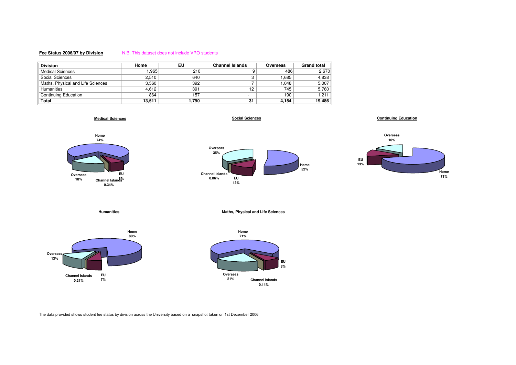# **Fee Status 2006/07 by Division**

## N.B. This dataset does not include VRO students

| <b>Division</b>                   | Home   | EU    | <b>Channel Islands</b>   | Overseas | <b>Grand total</b> |
|-----------------------------------|--------|-------|--------------------------|----------|--------------------|
| <b>Medical Sciences</b>           | .965   | 210   |                          | 486      | 2.670              |
| Social Sciences                   | 2,510  | 640   |                          | .685     | 4,838              |
| Maths, Physical and Life Sciences | 3.560  | 392   |                          | .048     | 5,007              |
| Humanities                        | 4.612  | 391   | 12                       | 745      | 5,760              |
| <b>Continuing Education</b>       | 864    | 157   | $\overline{\phantom{a}}$ | 190      | 1,211              |
| Total                             | 13,511 | 790.ا | 31                       | 4.154    | 19,486             |

**Medical Sciences**





**Home71%**



The data provided shows student fee status by division across the University based on a snapshot taken on 1st December 2006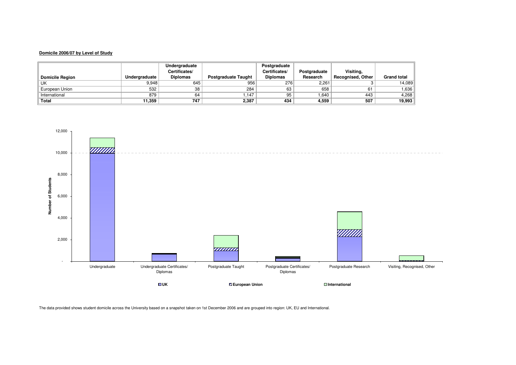# **Domicile 2006/07 by Level of Study**

|                              |               | Undergraduate   |                            | Postgraduate    |              |                          |                    |
|------------------------------|---------------|-----------------|----------------------------|-----------------|--------------|--------------------------|--------------------|
|                              |               | Certificates/   |                            | Certificates/   | Postgraduate | Visitina.                |                    |
| <b>Domicile Region</b>       | Undergraduate | <b>Diplomas</b> | <b>Postgraduate Taught</b> | <b>Diplomas</b> | Research     | <b>Recognised, Other</b> | <b>Grand total</b> |
| UK                           | 9.948         | 645             | 956                        | 276             | 2.261        |                          | 14.089             |
| <sup>'l</sup> European Union | 532           | 38              | 284                        | 63              | 658          | 61                       | ∣ 636.ا            |
| International                | 879           | 64              | 1.147                      | 95              | 1.640        | 443                      | 4,268              |
| Total                        | 11,359        | 747             | 2,387                      | 434             | 4,559        | 507                      | 19,993             |

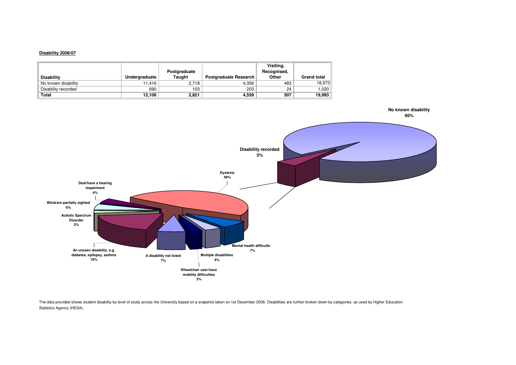# **Disability 2006/07**

| <b>Disability</b>   | Undergraduate | Postgraduate<br>Taught | <b>Postgraduate Research</b> | Visiting,<br>Recognised,<br>Other | <b>Grand total</b> |
|---------------------|---------------|------------------------|------------------------------|-----------------------------------|--------------------|
| No known disability | 11.416        | 2.718                  | 4,356                        | 483                               | 18,973             |
| Disability recorded | 690           | 103                    | 203                          | 24                                | 1.020              |
| <b>Total</b>        | 12.106        | 2.821                  | 4.559                        | 507                               | 19,993             |



The data provided shows student disability by level of study across the University based on a snapshot taken on 1st December 2006. Disabilities are further broken down by categories, as used by Higher Education Statistics Agency (HESA).